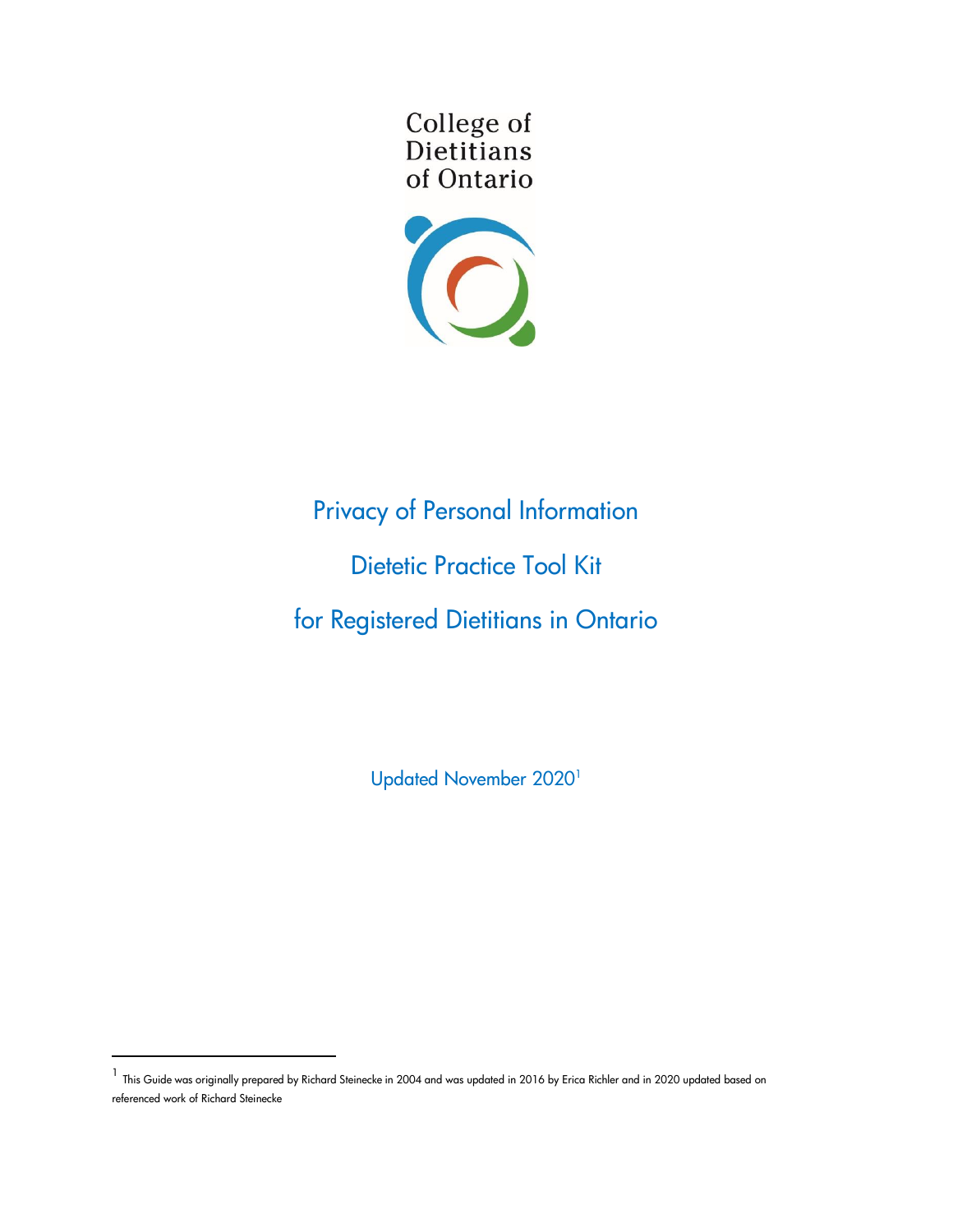



# Privacy of Personal Information

# Dietetic Practice Tool Kit

for Registered Dietitians in Ontario

Updated November 2020<sup>1</sup>

<sup>&</sup>lt;sup>1</sup> This Guide was originally prepared by Richard Steinecke in 2004 and was updated in 2016 by Erica Richler and in 2020 updated based on referenced work of Richard Steinecke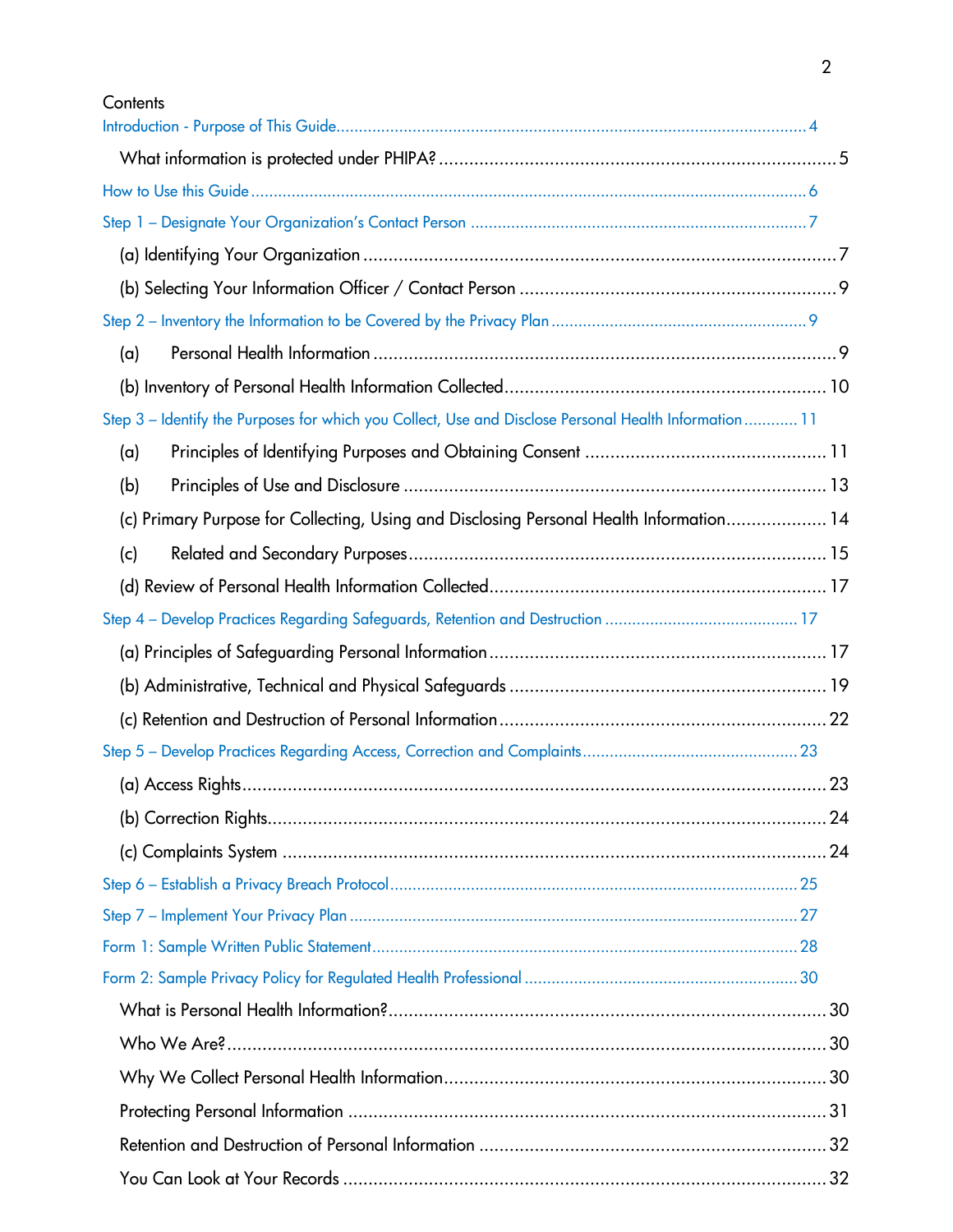| Contents                                                                                              |  |
|-------------------------------------------------------------------------------------------------------|--|
|                                                                                                       |  |
|                                                                                                       |  |
|                                                                                                       |  |
|                                                                                                       |  |
|                                                                                                       |  |
|                                                                                                       |  |
| (a)                                                                                                   |  |
|                                                                                                       |  |
| Step 3 - Identify the Purposes for which you Collect, Use and Disclose Personal Health Information 11 |  |
| (a)                                                                                                   |  |
| (b)                                                                                                   |  |
| (c) Primary Purpose for Collecting, Using and Disclosing Personal Health Information 14               |  |
| (c)                                                                                                   |  |
|                                                                                                       |  |
|                                                                                                       |  |
|                                                                                                       |  |
|                                                                                                       |  |
|                                                                                                       |  |
|                                                                                                       |  |
|                                                                                                       |  |
|                                                                                                       |  |
|                                                                                                       |  |
|                                                                                                       |  |
|                                                                                                       |  |
|                                                                                                       |  |
|                                                                                                       |  |
|                                                                                                       |  |
|                                                                                                       |  |
|                                                                                                       |  |
|                                                                                                       |  |
|                                                                                                       |  |
|                                                                                                       |  |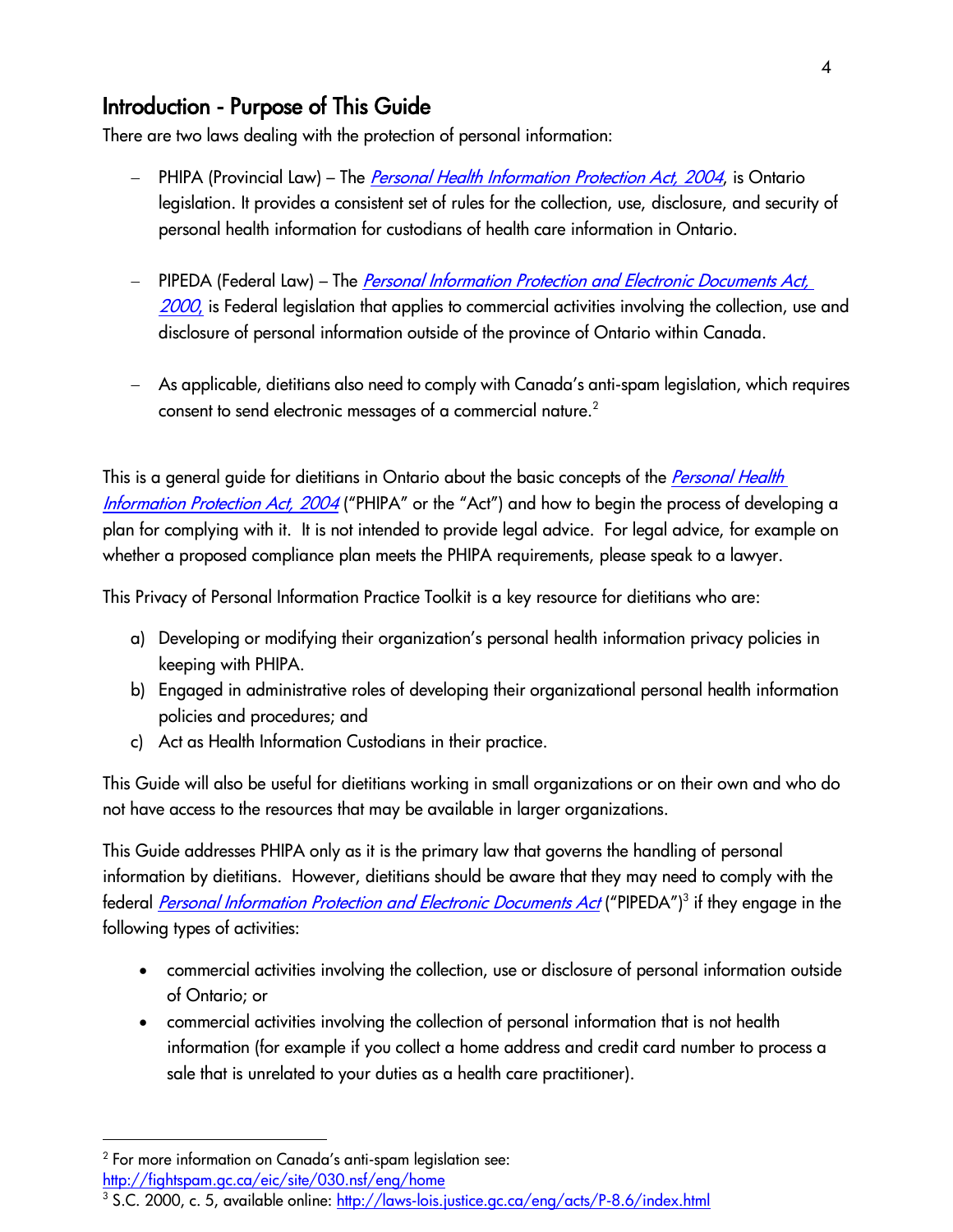## <span id="page-3-0"></span>Introduction - Purpose of This Guide

There are two laws dealing with the protection of personal information:

- PHIPA (Provincial Law) The *[Personal Health Information Protection Act, 2004](http://www.ontario.ca/laws/statute/04p03)*, is Ontario legislation. It provides a consistent set of rules for the collection, use, disclosure, and security of personal health information for custodians of health care information in Ontario.
- PIPEDA (Federal Law) The *Personal Information Protection and Electronic Documents Act,* [2000](http://laws-lois.justice.gc.ca/PDF/P-8.6.pdf), is Federal legislation that applies to commercial activities involving the collection, use and disclosure of personal information outside of the province of Ontario within Canada.
- − As applicable, dietitians also need to comply with Canada's anti-spam legislation, which requires consent to send electronic messages of a commercial nature.<sup>2</sup>

This is a general guide for dietitians in Ontario about the basic concepts of the *Personal Health* [Information Protection Act, 2004](https://www.ontario.ca/laws/statute/04p03) ("PHIPA" or the "Act") and how to begin the process of developing a plan for complying with it. It is not intended to provide legal advice. For legal advice, for example on whether a proposed compliance plan meets the PHIPA requirements, please speak to a lawyer.

This Privacy of Personal Information Practice Toolkit is a key resource for dietitians who are:

- a) Developing or modifying their organization's personal health information privacy policies in keeping with PHIPA.
- b) Engaged in administrative roles of developing their organizational personal health information policies and procedures; and
- c) Act as Health Information Custodians in their practice.

This Guide will also be useful for dietitians working in small organizations or on their own and who do not have access to the resources that may be available in larger organizations.

This Guide addresses PHIPA only as it is the primary law that governs the handling of personal information by dietitians. However, dietitians should be aware that they may need to comply with the federal <u>*[Personal Information Protection and Electronic Documents Act](https://laws-lois.justice.gc.ca/ENG/ACTS/P-8.6/index.html)* ("PIPEDA")<sup>3</sup> if they engage in the</u> following types of activities:

- commercial activities involving the collection, use or disclosure of personal information outside of Ontario; or
- commercial activities involving the collection of personal information that is not health information (for example if you collect a home address and credit card number to process a sale that is unrelated to your duties as a health care practitioner).

<sup>2</sup> For more information on Canada's anti-spam legislation see:

<http://fightspam.gc.ca/eic/site/030.nsf/eng/home>

<sup>&</sup>lt;sup>3</sup> S.C. 2000, c. 5, available online:<http://laws-lois.justice.gc.ca/eng/acts/P-8.6/index.html>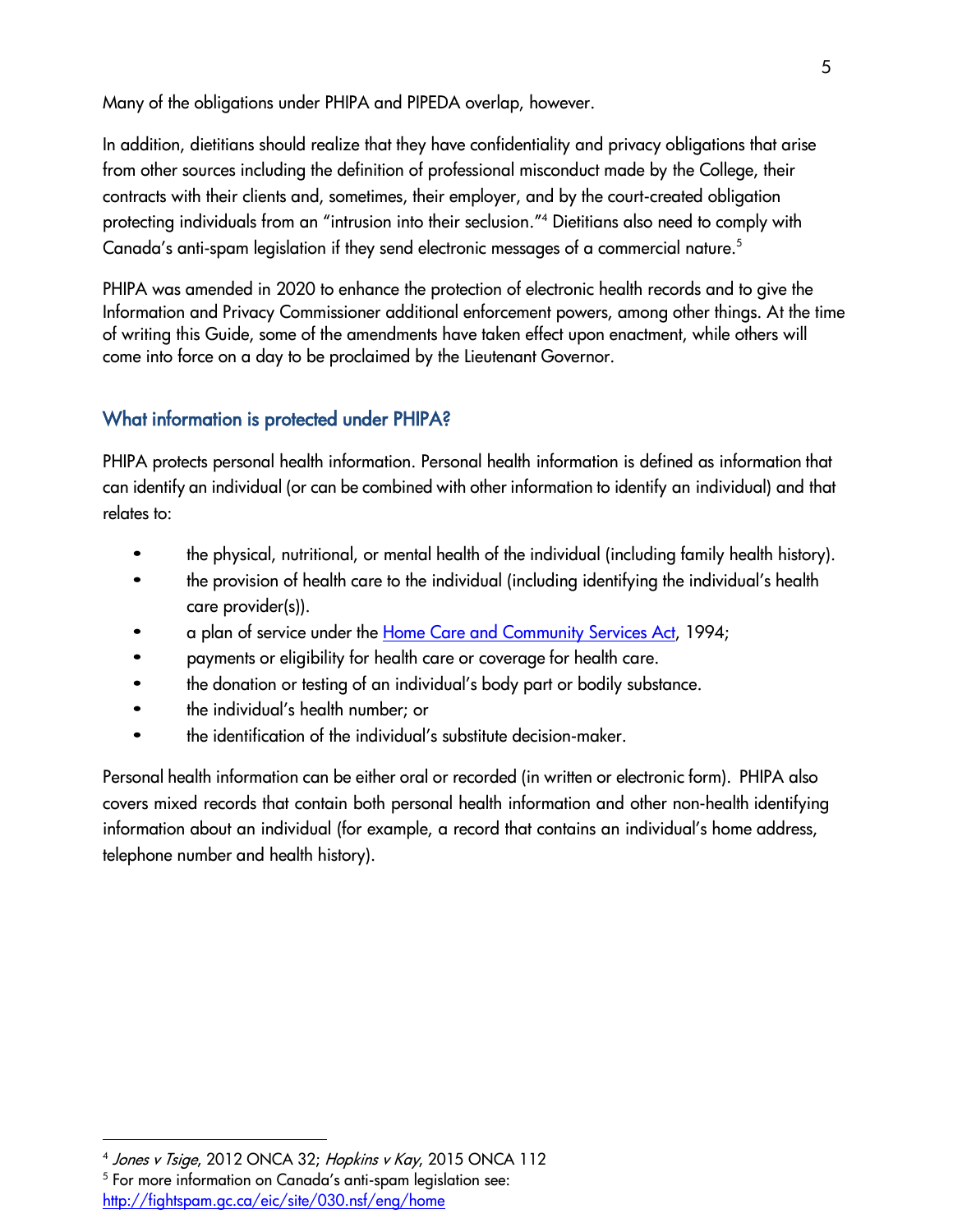Many of the obligations under PHIPA and PIPEDA overlap, however.

In addition, dietitians should realize that they have confidentiality and privacy obligations that arise from other sources including the definition of professional misconduct made by the College, their contracts with their clients and, sometimes, their employer, and by the court-created obligation protecting individuals from an "intrusion into their seclusion." <sup>4</sup> Dietitians also need to comply with Canada's anti-spam legislation if they send electronic messages of a commercial nature.<sup>5</sup>

PHIPA was amended in 2020 to enhance the protection of electronic health records and to give the Information and Privacy Commissioner additional enforcement powers, among other things. At the time of writing this Guide, some of the amendments have taken effect upon enactment, while others will come into force on a day to be proclaimed by the Lieutenant Governor.

### <span id="page-4-0"></span>What information is protected under PHIPA?

PHIPA protects personal health information. Personal health information is defined as information that can identify an individual (or can be combined with other information to identify an individual) and that relates to:

- the physical, nutritional, or mental health of the individual (including family health history).
- the provision of health care to the individual (including identifying the individual's health care provider(s)).
- a plan of service under the Home Care [and Community](http://www.ontario.ca/laws/statute/94l26) Services Act, 1994;
- payments or eligibility for health care or coverage for health care.
- the donation or testing of an individual's body part or bodily substance.
- the individual's health number; or
- the identification of the individual's substitute decision-maker.

Personal health information can be either oral or recorded (in written or electronic form). PHIPA also covers mixed records that contain both personal health information and other non-health identifying information about an individual (for example, a record that contains an individual's home address, telephone number and health history).

<sup>4</sup> Jones v Tsige, 2012 ONCA 32; Hopkins v Kay, 2015 ONCA 112 5 For more information on Canada's anti-spam legislation see: <http://fightspam.gc.ca/eic/site/030.nsf/eng/home>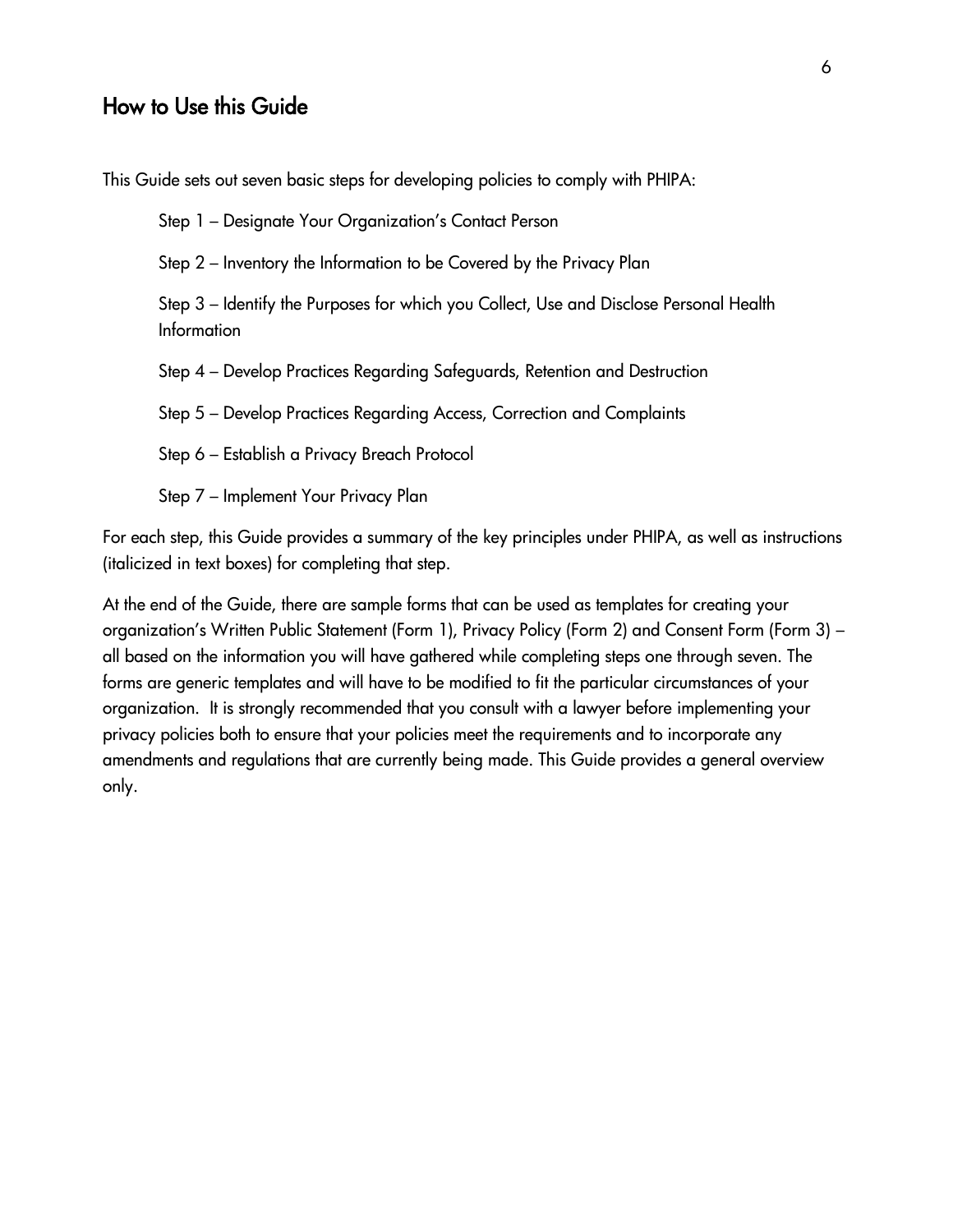## <span id="page-5-0"></span>How to Use this Guide

This Guide sets out seven basic steps for developing policies to comply with PHIPA:

Step 1 – Designate Your Organization's Contact Person

Step 2 – Inventory the Information to be Covered by the Privacy Plan

Step 3 – Identify the Purposes for which you Collect, Use and Disclose Personal Health Information

Step 4 – Develop Practices Regarding Safeguards, Retention and Destruction

Step 5 – Develop Practices Regarding Access, Correction and Complaints

Step 6 – Establish a Privacy Breach Protocol

Step 7 – Implement Your Privacy Plan

For each step, this Guide provides a summary of the key principles under PHIPA, as well as instructions (italicized in text boxes) for completing that step.

At the end of the Guide, there are sample forms that can be used as templates for creating your organization's Written Public Statement (Form 1), Privacy Policy (Form 2) and Consent Form (Form 3) – all based on the information you will have gathered while completing steps one through seven. The forms are generic templates and will have to be modified to fit the particular circumstances of your organization. It is strongly recommended that you consult with a lawyer before implementing your privacy policies both to ensure that your policies meet the requirements and to incorporate any amendments and regulations that are currently being made. This Guide provides a general overview only.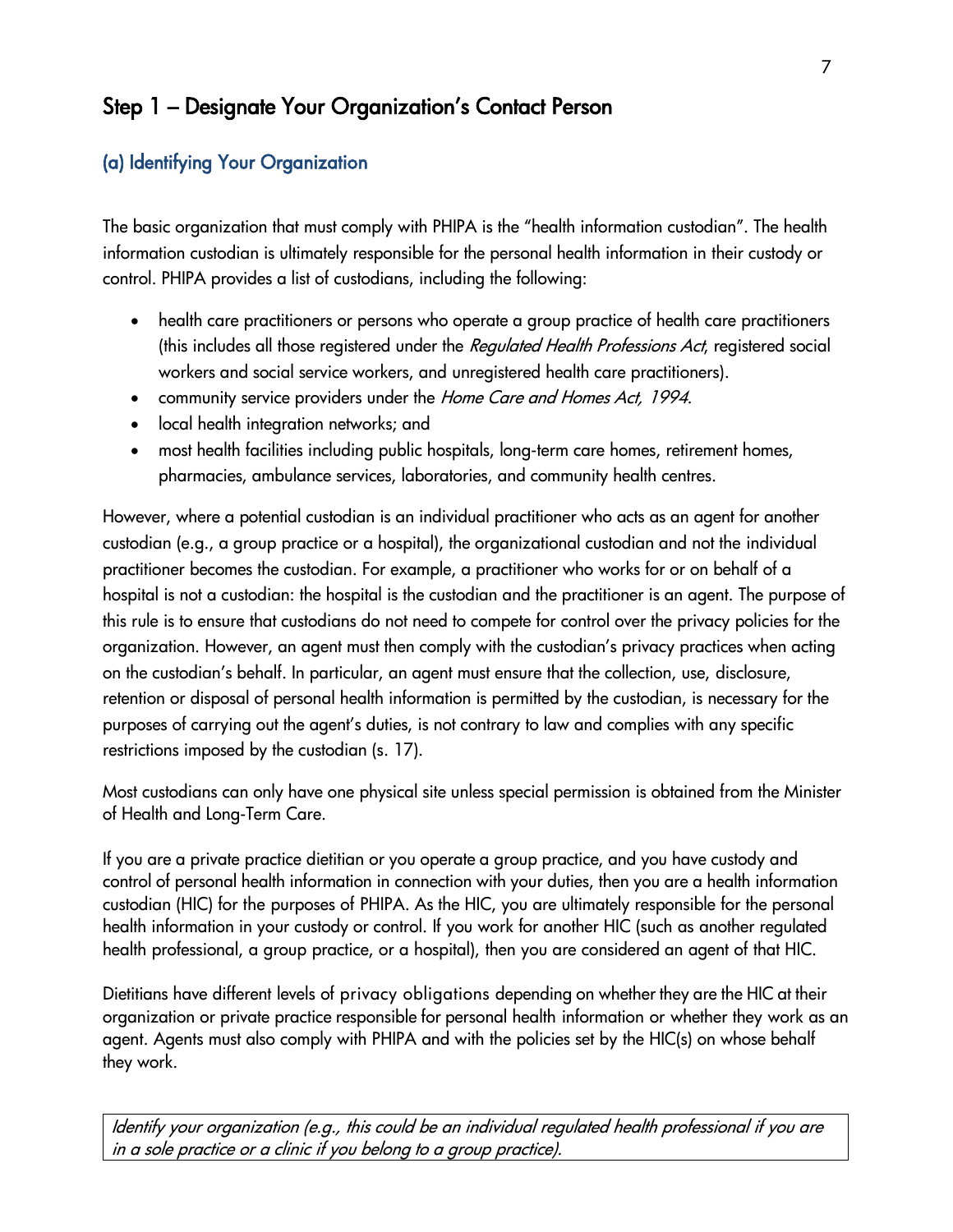## <span id="page-6-0"></span>Step 1 – Designate Your Organization's Contact Person

#### <span id="page-6-1"></span>(a) Identifying Your Organization

The basic organization that must comply with PHIPA is the "health information custodian". The health information custodian is ultimately responsible for the personal health information in their custody or control. PHIPA provides a list of custodians, including the following:

- health care practitioners or persons who operate a group practice of health care practitioners (this includes all those registered under the Regulated Health Professions Act, registered social workers and social service workers, and unregistered health care practitioners).
- community service providers under the Home Care and Homes Act, 1994.
- local health integration networks; and
- most health facilities including public hospitals, long-term care homes, retirement homes, pharmacies, ambulance services, laboratories, and community health centres.

However, where a potential custodian is an individual practitioner who acts as an agent for another custodian (e.g., a group practice or a hospital), the organizational custodian and not the individual practitioner becomes the custodian. For example, a practitioner who works for or on behalf of a hospital is not a custodian: the hospital is the custodian and the practitioner is an agent. The purpose of this rule is to ensure that custodians do not need to compete for control over the privacy policies for the organization. However, an agent must then comply with the custodian's privacy practices when acting on the custodian's behalf. In particular, an agent must ensure that the collection, use, disclosure, retention or disposal of personal health information is permitted by the custodian, is necessary for the purposes of carrying out the agent's duties, is not contrary to law and complies with any specific restrictions imposed by the custodian (s. 17).

Most custodians can only have one physical site unless special permission is obtained from the Minister of Health and Long-Term Care.

If you are a private practice dietitian or you operate a group practice, and you have custody and control of personal health information in connection with your duties, then you are a health information custodian (HIC) for the purposes of PHIPA. As the HIC, you are ultimately responsible for the personal health information in your custody or control. If you work for another HIC (such as another regulated health professional, a group practice, or a hospital), then you are considered an agent of that HIC.

Dietitians have different levels of privacy obligations depending on whether they are the HIC at their organization or private practice responsible for personal health information or whether they work as an agent. Agents must also comply with PHIPA and with the policies set by the HIC(s) on whose behalf they work.

Identify your organization (e.g., this could be an individual regulated health professional if you are in a sole practice or a clinic if you belong to a group practice).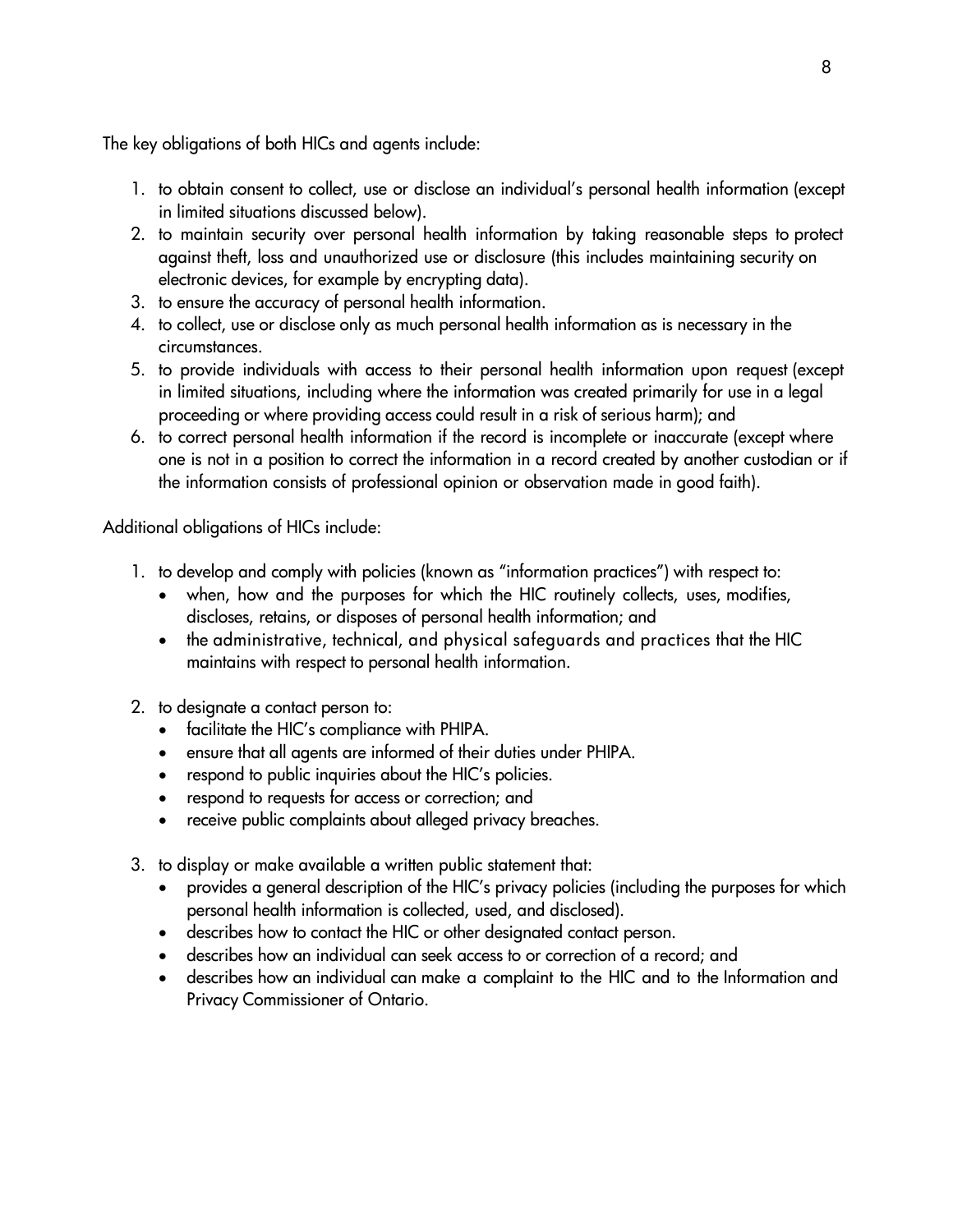The key obligations of both HICs and agents include:

- 1. to obtain consent to collect, use or disclose an individual's personal health information (except in limited situations discussed below).
- 2. to maintain security over personal health information by taking reasonable steps to protect against theft, loss and unauthorized use or disclosure (this includes maintaining security on electronic devices, for example by encrypting data).
- 3. to ensure the accuracy of personal health information.
- 4. to collect, use or disclose only as much personal health information as is necessary in the circumstances.
- 5. to provide individuals with access to their personal health information upon request (except in limited situations, including where the information was created primarily for use in a legal proceeding or where providing access could result in a risk of serious harm); and
- 6. to correct personal health information if the record is incomplete or inaccurate (except where one is not in a position to correct the information in a record created by another custodian or if the information consists of professional opinion or observation made in good faith).

Additional obligations of HICs include:

- 1. to develop and comply with policies (known as "information practices") with respect to:
	- when, how and the purposes for which the HIC routinely collects, uses, modifies, discloses, retains, or disposes of personal health information; and
	- the administrative, technical, and physical safeguards and practices that the HIC maintains with respect to personal health information.
- 2. to designate a contact person to:
	- facilitate the HIC's compliance with PHIPA.
	- ensure that all agents are informed of their duties under PHIPA.
	- respond to public inquiries about the HIC's policies.
	- respond to requests for access or correction; and
	- receive public complaints about alleged privacy breaches.
- 3. to display or make available a written public statement that:
	- provides a general description of the HIC's privacy policies (including the purposes for which personal health information is collected, used, and disclosed).
	- describes how to contact the HIC or other designated contact person.
	- describes how an individual can seek access to or correction of a record; and
	- describes how an individual can make a complaint to the HIC and to the Information and Privacy Commissioner of Ontario.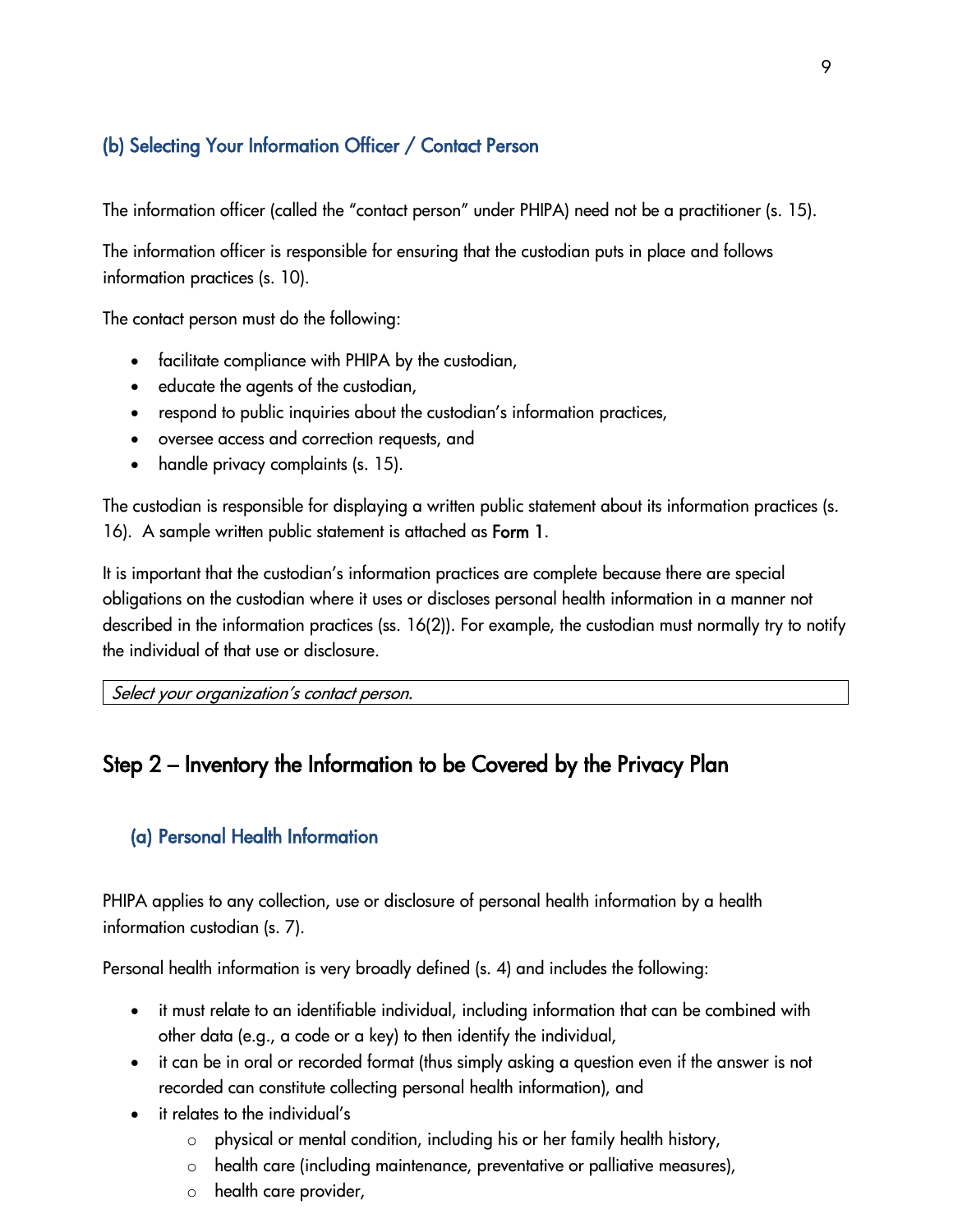## <span id="page-8-0"></span>(b) Selecting Your Information Officer / Contact Person

The information officer (called the "contact person" under PHIPA) need not be a practitioner (s. 15).

The information officer is responsible for ensuring that the custodian puts in place and follows information practices (s. 10).

The contact person must do the following:

- facilitate compliance with PHIPA by the custodian,
- educate the agents of the custodian,
- respond to public inquiries about the custodian's information practices,
- oversee access and correction requests, and
- handle privacy complaints (s. 15).

The custodian is responsible for displaying a written public statement about its information practices (s. 16). A sample written public statement is attached as Form 1.

It is important that the custodian's information practices are complete because there are special obligations on the custodian where it uses or discloses personal health information in a manner not described in the information practices (ss. 16(2)). For example, the custodian must normally try to notify the individual of that use or disclosure.

Select your organization's contact person.

## <span id="page-8-1"></span>Step 2 – Inventory the Information to be Covered by the Privacy Plan

## <span id="page-8-2"></span>(a) Personal Health Information

PHIPA applies to any collection, use or disclosure of personal health information by a health information custodian (s. 7).

Personal health information is very broadly defined (s. 4) and includes the following:

- it must relate to an identifiable individual, including information that can be combined with other data (e.g., a code or a key) to then identify the individual,
- it can be in oral or recorded format (thus simply asking a question even if the answer is not recorded can constitute collecting personal health information), and
- it relates to the individual's
	- o physical or mental condition, including his or her family health history,
	- o health care (including maintenance, preventative or palliative measures),
	- o health care provider,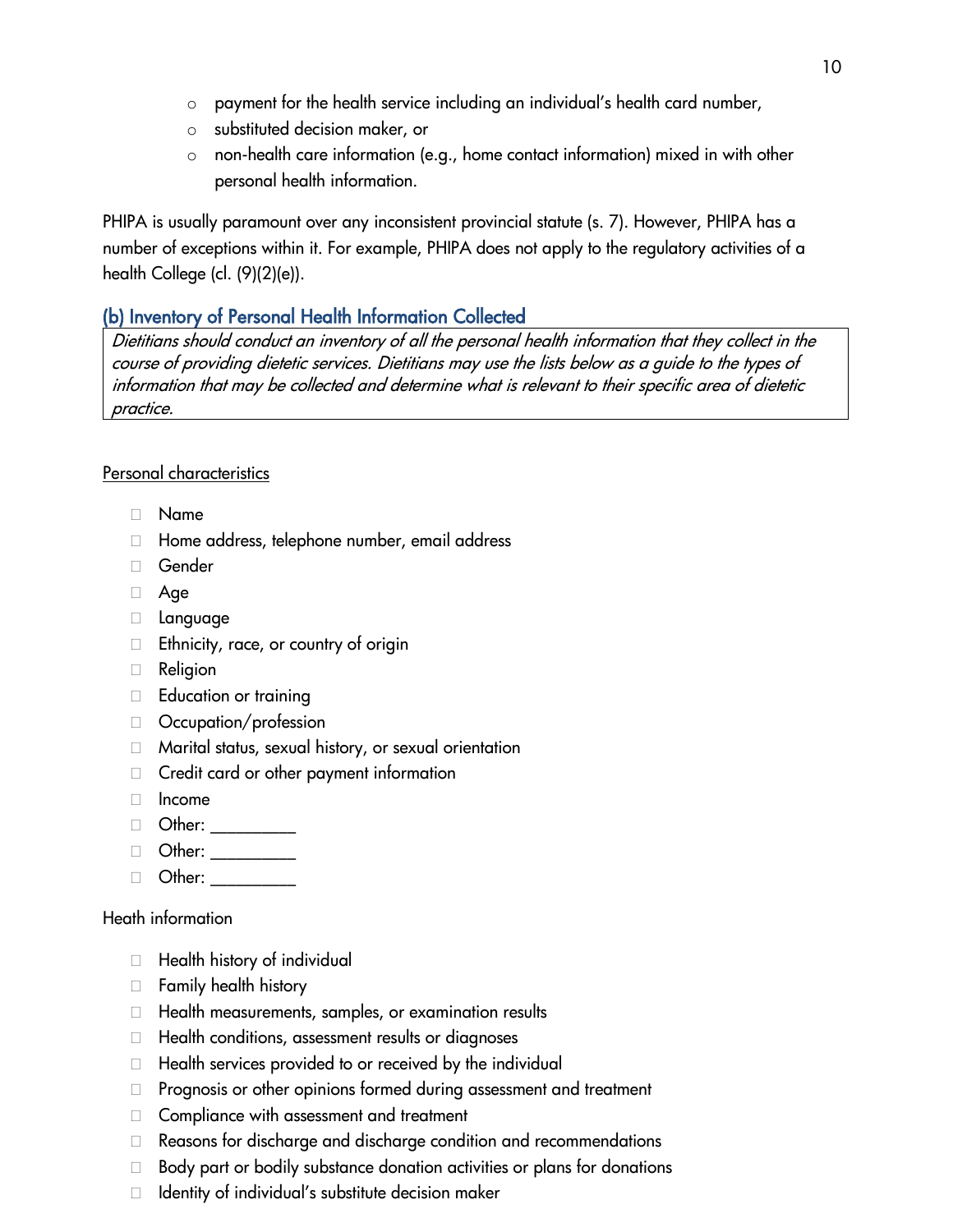- o payment for the health service including an individual's health card number,
- o substituted decision maker, or
- o non-health care information (e.g., home contact information) mixed in with other personal health information.

PHIPA is usually paramount over any inconsistent provincial statute (s. 7). However, PHIPA has a number of exceptions within it. For example, PHIPA does not apply to the regulatory activities of a health College (cl. (9)(2)(e)).

### <span id="page-9-0"></span>(b) Inventory of Personal Health Information Collected

Dietitians should conduct an inventory of all the personal health information that they collect in the course of providing dietetic services. Dietitians may use the lists below as a guide to the types of information that may be collected and determine what is relevant to their specific area of dietetic practice.

#### Personal characteristics

- Name
- Home address, telephone number, email address
- Gender
- □ Age
- Language
- $\Box$  Ethnicity, race, or country of origin
- Religion
- □ Education or training
- Occupation/profession
- Marital status, sexual history, or sexual orientation
- Credit card or other payment information
- Income
- □ Other: \_\_\_\_\_\_\_\_\_
- □ Other: \_\_\_\_\_\_\_\_\_\_
- □ Other: \_\_\_\_\_\_\_\_\_

#### Heath information

- Health history of individual
- □ Family health history
- □ Health measurements, samples, or examination results
- $\Box$  Health conditions, assessment results or diagnoses
- $\Box$  Health services provided to or received by the individual
- $\Box$  Prognosis or other opinions formed during assessment and treatment
- □ Compliance with assessment and treatment
- Reasons for discharge and discharge condition and recommendations
- $\Box$  Body part or bodily substance donation activities or plans for donations
- $\Box$  Identity of individual's substitute decision maker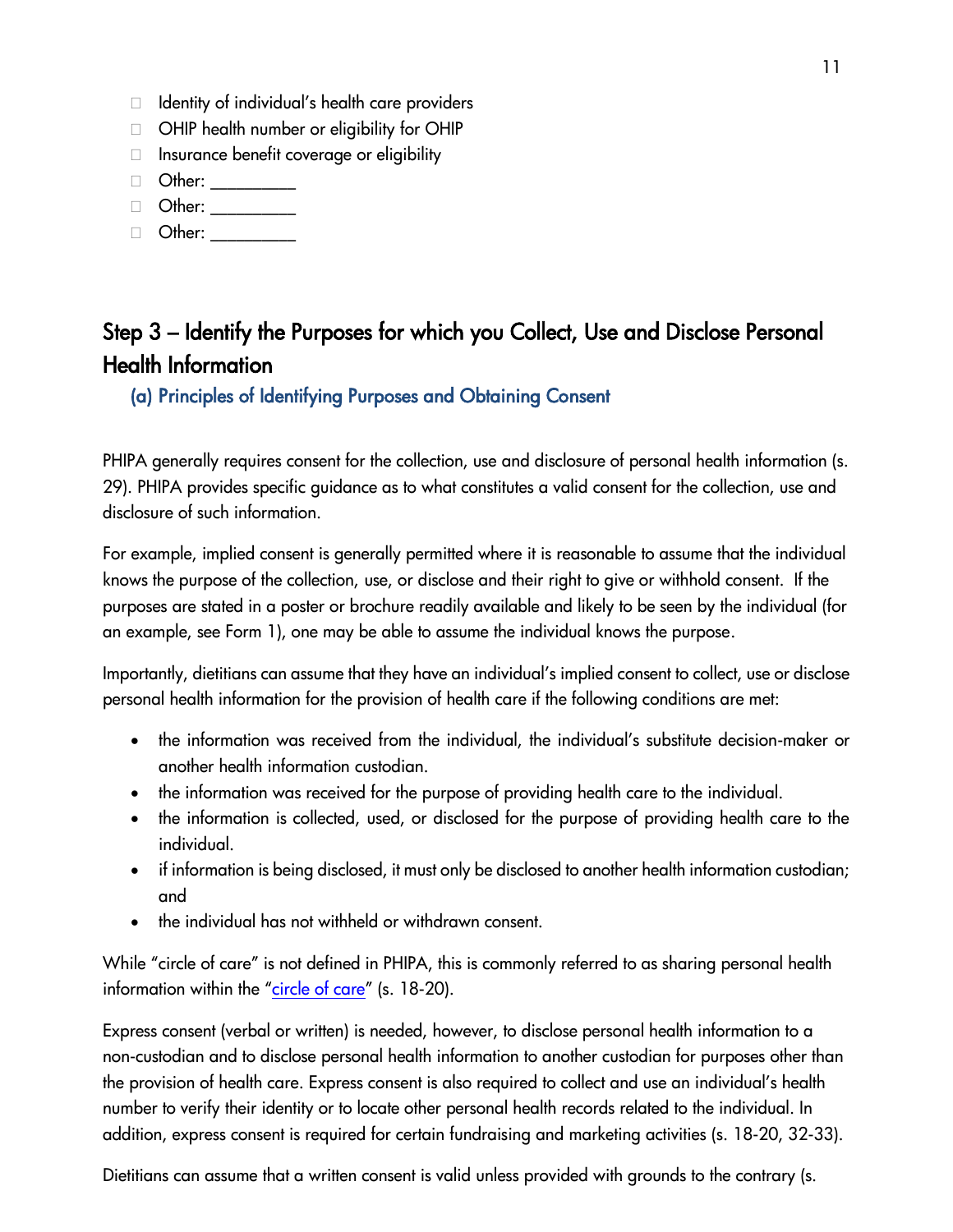- $\Box$  Identity of individual's health care providers
- □ OHIP health number or eligibility for OHIP
- $\Box$  Insurance benefit coverage or eligibility
- □ Other: \_\_\_\_\_\_\_\_\_
- $\Box$  Other:
- $\Box$  Other:

# <span id="page-10-0"></span>Step 3 – Identify the Purposes for which you Collect, Use and Disclose Personal Health Information

<span id="page-10-1"></span>(a) Principles of Identifying Purposes and Obtaining Consent

PHIPA generally requires consent for the collection, use and disclosure of personal health information (s. 29). PHIPA provides specific guidance as to what constitutes a valid consent for the collection, use and disclosure of such information.

For example, implied consent is generally permitted where it is reasonable to assume that the individual knows the purpose of the collection, use, or disclose and their right to give or withhold consent. If the purposes are stated in a poster or brochure readily available and likely to be seen by the individual (for an example, see Form 1), one may be able to assume the individual knows the purpose.

Importantly, dietitians can assume that they have an individual's implied consent to collect, use or disclose personal health information for the provision of health care if the following conditions are met:

- the information was received from the individual, the individual's substitute decision-maker or another health information custodian.
- the information was received for the purpose of providing health care to the individual.
- the information is collected, used, or disclosed for the purpose of providing health care to the individual.
- if information is being disclosed, it must only be disclosed to another health information custodian; and
- the individual has not withheld or withdrawn consent.

While "circle of care" is not defined in PHIPA, this is commonly referred to as sharing personal health information within the "[circle of care](http://www.collegeofdietitians.org/Resources/Privacy-and-Confidentiality/Circle-of-Care/The-Circle-of-Care-(Information-and-Privacy-Commis.aspx)" (s. 18-20).

Express consent (verbal or written) is needed, however, to disclose personal health information to a non-custodian and to disclose personal health information to another custodian for purposes other than the provision of health care. Express consent is also required to collect and use an individual's health number to verify their identity or to locate other personal health records related to the individual. In addition, express consent is required for certain fundraising and marketing activities (s. 18-20, 32-33).

Dietitians can assume that a written consent is valid unless provided with grounds to the contrary (s.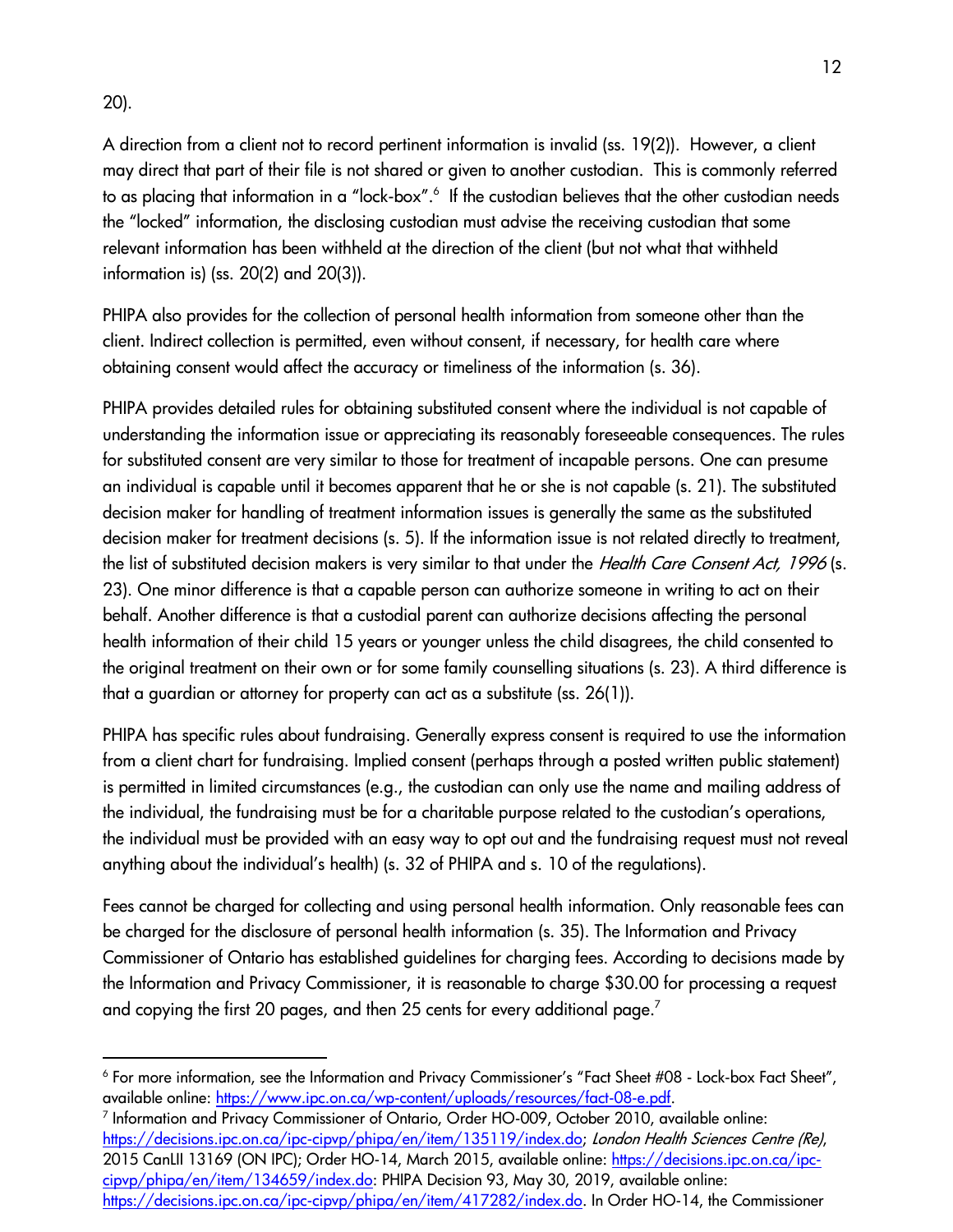#### 20).

A direction from a client not to record pertinent information is invalid (ss. 19(2)). However, a client may direct that part of their file is not shared or given to another custodian. This is commonly referred to as placing that information in a "lock-box".<sup>6</sup> If the custodian believes that the other custodian needs the "locked" information, the disclosing custodian must advise the receiving custodian that some relevant information has been withheld at the direction of the client (but not what that withheld information is) (ss. 20(2) and 20(3)).

PHIPA also provides for the collection of personal health information from someone other than the client. Indirect collection is permitted, even without consent, if necessary, for health care where obtaining consent would affect the accuracy or timeliness of the information (s. 36).

PHIPA provides detailed rules for obtaining substituted consent where the individual is not capable of understanding the information issue or appreciating its reasonably foreseeable consequences. The rules for substituted consent are very similar to those for treatment of incapable persons. One can presume an individual is capable until it becomes apparent that he or she is not capable (s. 21). The substituted decision maker for handling of treatment information issues is generally the same as the substituted decision maker for treatment decisions (s. 5). If the information issue is not related directly to treatment, the list of substituted decision makers is very similar to that under the Health Care Consent Act, 1996 (s. 23). One minor difference is that a capable person can authorize someone in writing to act on their behalf. Another difference is that a custodial parent can authorize decisions affecting the personal health information of their child 15 years or younger unless the child disagrees, the child consented to the original treatment on their own or for some family counselling situations (s. 23). A third difference is that a guardian or attorney for property can act as a substitute (ss. 26(1)).

PHIPA has specific rules about fundraising. Generally express consent is required to use the information from a client chart for fundraising. Implied consent (perhaps through a posted written public statement) is permitted in limited circumstances (e.g., the custodian can only use the name and mailing address of the individual, the fundraising must be for a charitable purpose related to the custodian's operations, the individual must be provided with an easy way to opt out and the fundraising request must not reveal anything about the individual's health) (s. 32 of PHIPA and s. 10 of the regulations).

Fees cannot be charged for collecting and using personal health information. Only reasonable fees can be charged for the disclosure of personal health information (s. 35). The Information and Privacy Commissioner of Ontario has established guidelines for charging fees. According to decisions made by the Information and Privacy Commissioner, it is reasonable to charge \$30.00 for processing a request and copying the first 20 pages, and then 25 cents for every additional page. $^7$ 

<sup>6</sup> For more information, see the Information and Privacy Commissioner's "Fact Sheet #08 - Lock-box Fact Sheet", available online: [https://www.ipc.on.ca/wp-content/uploads/resources/fact-08-e.pdf.](https://www.ipc.on.ca/wp-content/uploads/resources/fact-08-e.pdf)

<sup>7</sup> Information and Privacy Commissioner of Ontario, Order HO-009, October 2010, available online: [https://decisions.ipc.on.ca/ipc-cipvp/phipa/en/item/135119/index.do;](https://decisions.ipc.on.ca/ipc-cipvp/phipa/en/item/135119/index.do) London Health Sciences Centre (Re), 2015 CanLII 13169 (ON IPC); Order HO-14, March 2015, available online: [https://decisions.ipc.on.ca/ipc](https://decisions.ipc.on.ca/ipc-cipvp/phipa/en/item/134659/index.do)[cipvp/phipa/en/item/134659/index.do:](https://decisions.ipc.on.ca/ipc-cipvp/phipa/en/item/134659/index.do) PHIPA Decision 93, May 30, 2019, available online: [https://decisions.ipc.on.ca/ipc-cipvp/phipa/en/item/417282/index.do.](https://decisions.ipc.on.ca/ipc-cipvp/phipa/en/item/417282/index.do) In Order HO-14, the Commissioner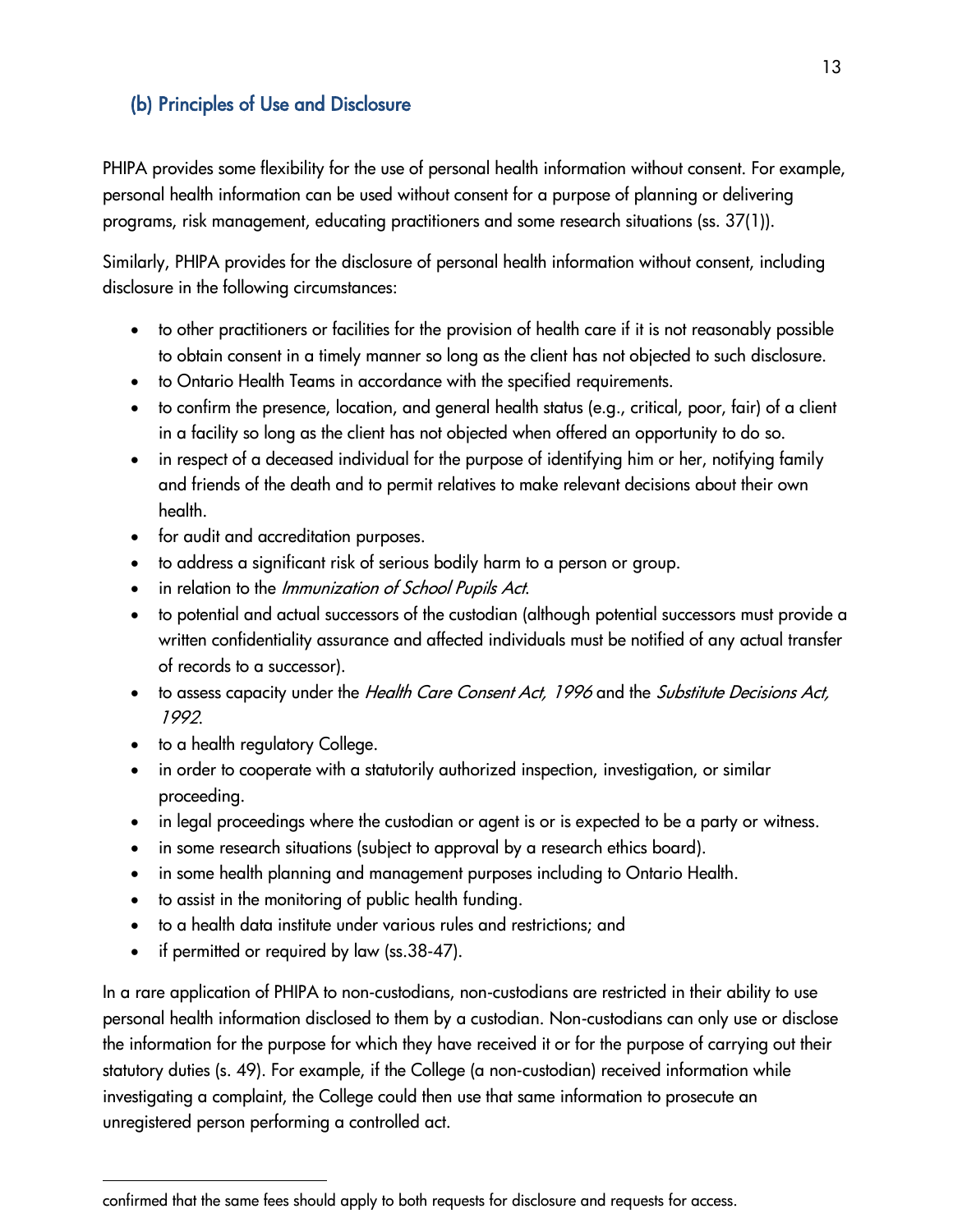### <span id="page-12-0"></span>(b) Principles of Use and Disclosure

PHIPA provides some flexibility for the use of personal health information without consent. For example, personal health information can be used without consent for a purpose of planning or delivering programs, risk management, educating practitioners and some research situations (ss. 37(1)).

Similarly, PHIPA provides for the disclosure of personal health information without consent, including disclosure in the following circumstances:

- to other practitioners or facilities for the provision of health care if it is not reasonably possible to obtain consent in a timely manner so long as the client has not objected to such disclosure.
- to Ontario Health Teams in accordance with the specified requirements.
- to confirm the presence, location, and general health status (e.g., critical, poor, fair) of a client in a facility so long as the client has not objected when offered an opportunity to do so.
- in respect of a deceased individual for the purpose of identifying him or her, notifying family and friends of the death and to permit relatives to make relevant decisions about their own health.
- for audit and accreditation purposes.
- to address a significant risk of serious bodily harm to a person or group.
- in relation to the Immunization of School Pupils Act.
- to potential and actual successors of the custodian (although potential successors must provide a written confidentiality assurance and affected individuals must be notified of any actual transfer of records to a successor).
- to assess capacity under the Health Care Consent Act, 1996 and the Substitute Decisions Act, 1992.
- to a health regulatory College.
- in order to cooperate with a statutorily authorized inspection, investigation, or similar proceeding.
- in legal proceedings where the custodian or agent is or is expected to be a party or witness.
- in some research situations (subject to approval by a research ethics board).
- in some health planning and management purposes including to Ontario Health.
- to assist in the monitoring of public health funding.
- to a health data institute under various rules and restrictions; and
- if permitted or required by law (ss.38-47).

In a rare application of PHIPA to non-custodians, non-custodians are restricted in their ability to use personal health information disclosed to them by a custodian. Non-custodians can only use or disclose the information for the purpose for which they have received it or for the purpose of carrying out their statutory duties (s. 49). For example, if the College (a non-custodian) received information while investigating a complaint, the College could then use that same information to prosecute an unregistered person performing a controlled act.

confirmed that the same fees should apply to both requests for disclosure and requests for access.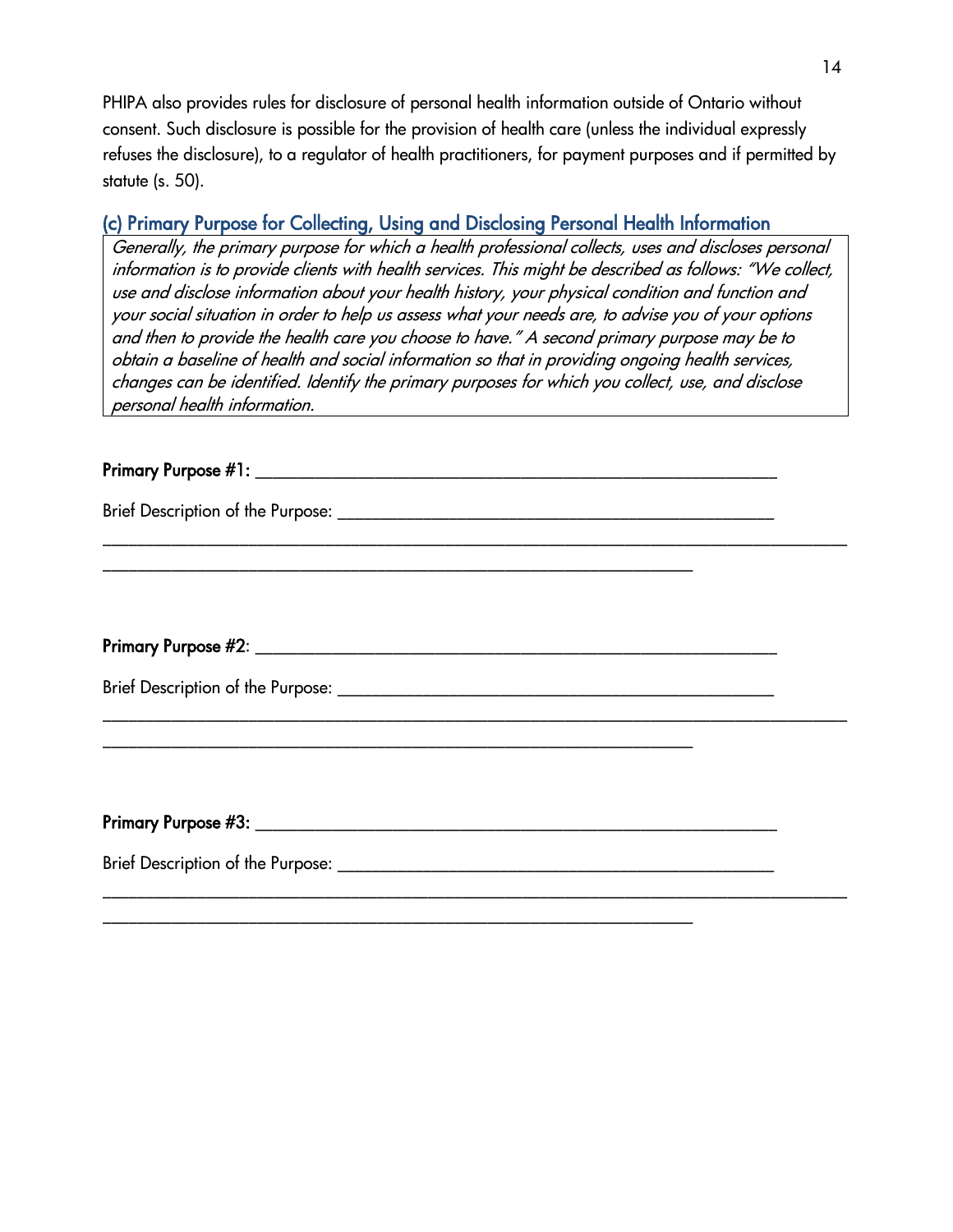PHIPA also provides rules for disclosure of personal health information outside of Ontario without consent. Such disclosure is possible for the provision of health care (unless the individual expressly refuses the disclosure), to a regulator of health practitioners, for payment purposes and if permitted by statute (s. 50).

### <span id="page-13-0"></span>(c) Primary Purpose for Collecting, Using and Disclosing Personal Health Information

Generally, the primary purpose for which a health professional collects, uses and discloses personal information is to provide clients with health services. This might be described as follows: "We collect, use and disclose information about your health history, your physical condition and function and your social situation in order to help us assess what your needs are, to advise you of your options and then to provide the health care you choose to have." A second primary purpose may be to obtain a baseline of health and social information so that in providing ongoing health services, changes can be identified. Identify the primary purposes for which you collect, use, and disclose personal health information.

\_\_\_\_\_\_\_\_\_\_\_\_\_\_\_\_\_\_\_\_\_\_\_\_\_\_\_\_\_\_\_\_\_\_\_\_\_\_\_\_\_\_\_\_\_\_\_\_\_\_\_\_\_\_\_\_\_\_\_\_\_\_\_\_\_\_\_\_\_\_\_\_\_\_\_\_\_\_\_\_\_\_\_\_\_\_\_

\_\_\_\_\_\_\_\_\_\_\_\_\_\_\_\_\_\_\_\_\_\_\_\_\_\_\_\_\_\_\_\_\_\_\_\_\_\_\_\_\_\_\_\_\_\_\_\_\_\_\_\_\_\_\_\_\_\_\_\_\_\_\_\_\_\_\_\_\_\_\_\_\_\_\_\_\_\_\_\_\_\_\_\_\_\_\_

\_\_\_\_\_\_\_\_\_\_\_\_\_\_\_\_\_\_\_\_\_\_\_\_\_\_\_\_\_\_\_\_\_\_\_\_\_\_\_\_\_\_\_\_\_\_\_\_\_\_\_\_\_\_\_\_\_\_\_\_\_\_\_\_\_\_\_\_\_\_\_\_\_\_\_\_\_\_\_\_\_\_\_\_\_\_\_

\_\_\_\_\_\_\_\_\_\_\_\_\_\_\_\_\_\_\_\_\_\_\_\_\_\_\_\_\_\_\_\_\_\_\_\_\_\_\_\_\_\_\_\_\_\_\_\_\_\_\_\_\_\_\_\_\_\_\_\_\_\_\_\_\_\_\_\_\_

\_\_\_\_\_\_\_\_\_\_\_\_\_\_\_\_\_\_\_\_\_\_\_\_\_\_\_\_\_\_\_\_\_\_\_\_\_\_\_\_\_\_\_\_\_\_\_\_\_\_\_\_\_\_\_\_\_\_\_\_\_\_\_\_\_\_\_\_\_

\_\_\_\_\_\_\_\_\_\_\_\_\_\_\_\_\_\_\_\_\_\_\_\_\_\_\_\_\_\_\_\_\_\_\_\_\_\_\_\_\_\_\_\_\_\_\_\_\_\_\_\_\_\_\_\_\_\_\_\_\_\_\_\_\_\_\_\_\_

#### Primary Purpose #1: \_\_\_\_\_\_\_\_\_\_\_\_\_\_\_\_\_\_\_\_\_\_\_\_\_\_\_\_\_\_\_\_\_\_\_\_\_\_\_\_\_\_\_\_\_\_\_\_\_\_\_\_\_\_\_\_\_\_\_\_\_

Brief Description of the Purpose: \_\_\_\_\_\_\_\_\_\_\_\_\_\_\_\_\_\_\_\_\_\_\_\_\_\_\_\_\_\_\_\_\_\_\_\_\_\_\_\_\_\_\_\_\_\_\_\_\_\_\_

Primary Purpose #2: \_\_\_\_\_\_\_\_\_\_\_\_\_\_\_\_\_\_\_\_\_\_\_\_\_\_\_\_\_\_\_\_\_\_\_\_\_\_\_\_\_\_\_\_\_\_\_\_\_\_\_\_\_\_\_\_\_\_\_\_\_

Brief Description of the Purpose:  $\blacksquare$ 

Primary Purpose #3: \_\_\_\_\_\_\_\_\_\_\_\_\_\_\_\_\_\_\_\_\_\_\_\_\_\_\_\_\_\_\_\_\_\_\_\_\_\_\_\_\_\_\_\_\_\_\_\_\_\_\_\_\_\_\_\_\_\_\_\_\_

Brief Description of the Purpose: \_\_\_\_\_\_\_\_\_\_\_\_\_\_\_\_\_\_\_\_\_\_\_\_\_\_\_\_\_\_\_\_\_\_\_\_\_\_\_\_\_\_\_\_\_\_\_\_\_\_\_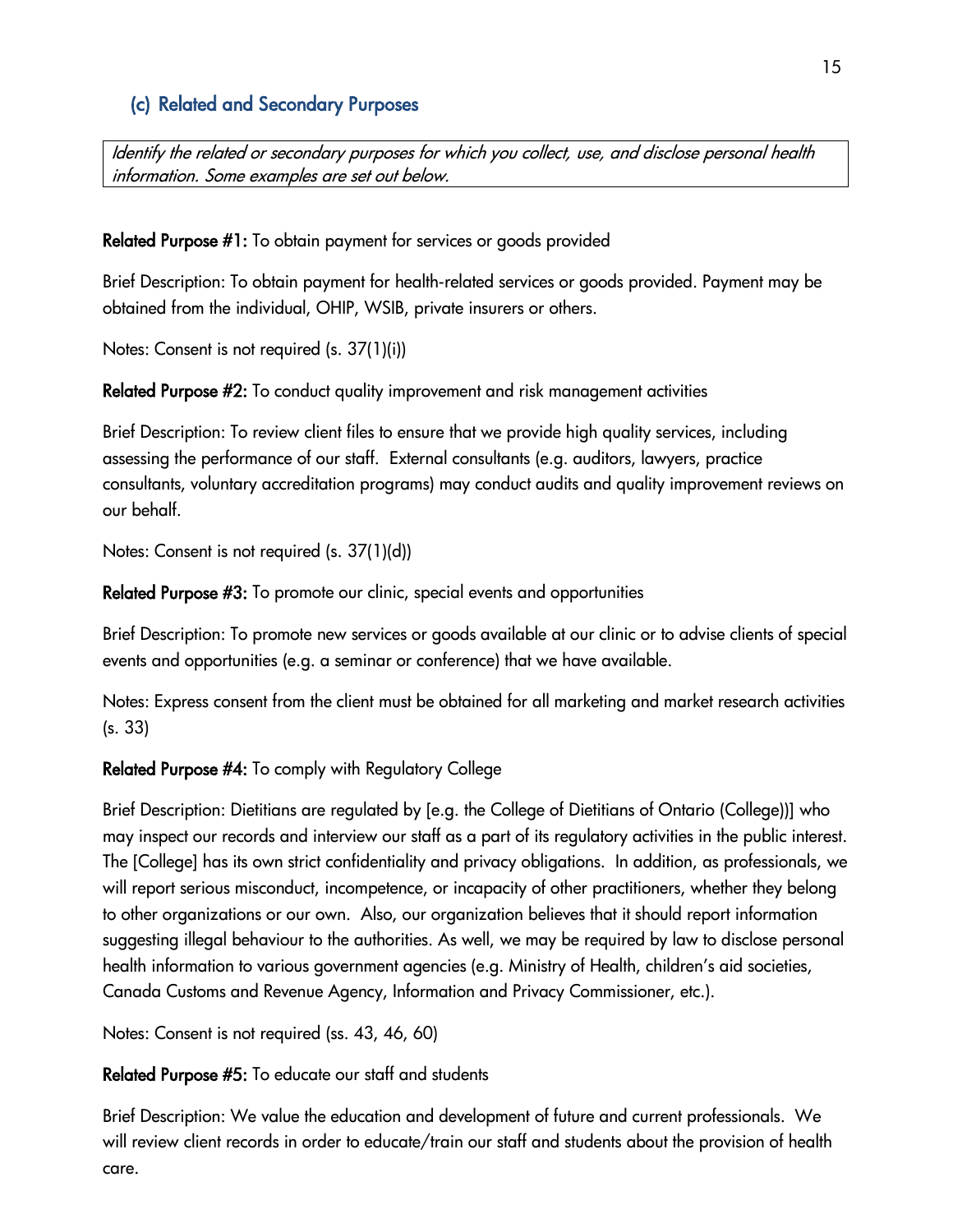### <span id="page-14-0"></span>(c) Related and Secondary Purposes

Identify the related or secondary purposes for which you collect, use, and disclose personal health information. Some examples are set out below.

Related Purpose #1: To obtain payment for services or goods provided

Brief Description: To obtain payment for health-related services or goods provided. Payment may be obtained from the individual, OHIP, WSIB, private insurers or others.

Notes: Consent is not required (s. 37(1)(i))

Related Purpose #2: To conduct quality improvement and risk management activities

Brief Description: To review client files to ensure that we provide high quality services, including assessing the performance of our staff. External consultants (e.g. auditors, lawyers, practice consultants, voluntary accreditation programs) may conduct audits and quality improvement reviews on our behalf.

Notes: Consent is not required (s. 37(1)(d))

Related Purpose #3: To promote our clinic, special events and opportunities

Brief Description: To promote new services or goods available at our clinic or to advise clients of special events and opportunities (e.g. a seminar or conference) that we have available.

Notes: Express consent from the client must be obtained for all marketing and market research activities (s. 33)

#### Related Purpose #4: To comply with Regulatory College

Brief Description: Dietitians are regulated by [e.g. the College of Dietitians of Ontario (College))] who may inspect our records and interview our staff as a part of its regulatory activities in the public interest. The [College] has its own strict confidentiality and privacy obligations. In addition, as professionals, we will report serious misconduct, incompetence, or incapacity of other practitioners, whether they belong to other organizations or our own. Also, our organization believes that it should report information suggesting illegal behaviour to the authorities. As well, we may be required by law to disclose personal health information to various government agencies (e.g. Ministry of Health, children's aid societies, Canada Customs and Revenue Agency, Information and Privacy Commissioner, etc.).

Notes: Consent is not required (ss. 43, 46, 60)

Related Purpose #5: To educate our staff and students

Brief Description: We value the education and development of future and current professionals. We will review client records in order to educate/train our staff and students about the provision of health care.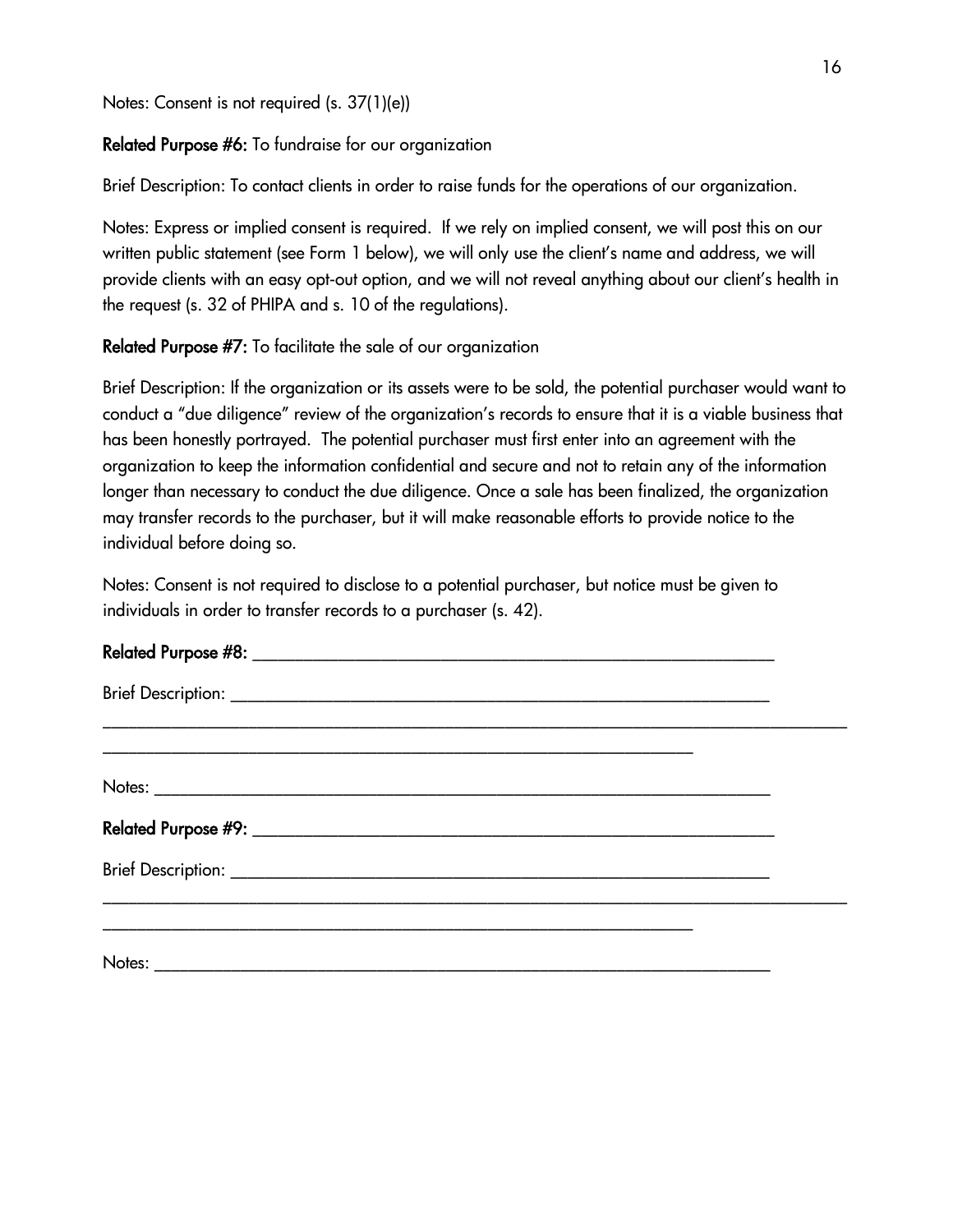Notes: Consent is not required (s. 37(1)(e))

#### Related Purpose #6: To fundraise for our organization

Brief Description: To contact clients in order to raise funds for the operations of our organization.

Notes: Express or implied consent is required. If we rely on implied consent, we will post this on our written public statement (see Form 1 below), we will only use the client's name and address, we will provide clients with an easy opt-out option, and we will not reveal anything about our client's health in the request (s. 32 of PHIPA and s. 10 of the regulations).

#### Related Purpose #7: To facilitate the sale of our organization

Brief Description: If the organization or its assets were to be sold, the potential purchaser would want to conduct a "due diligence" review of the organization's records to ensure that it is a viable business that has been honestly portrayed. The potential purchaser must first enter into an agreement with the organization to keep the information confidential and secure and not to retain any of the information longer than necessary to conduct the due diligence. Once a sale has been finalized, the organization may transfer records to the purchaser, but it will make reasonable efforts to provide notice to the individual before doing so.

Notes: Consent is not required to disclose to a potential purchaser, but notice must be given to individuals in order to transfer records to a purchaser (s. 42).

| <b>Related Purpose #8:</b> |  |  |
|----------------------------|--|--|
|                            |  |  |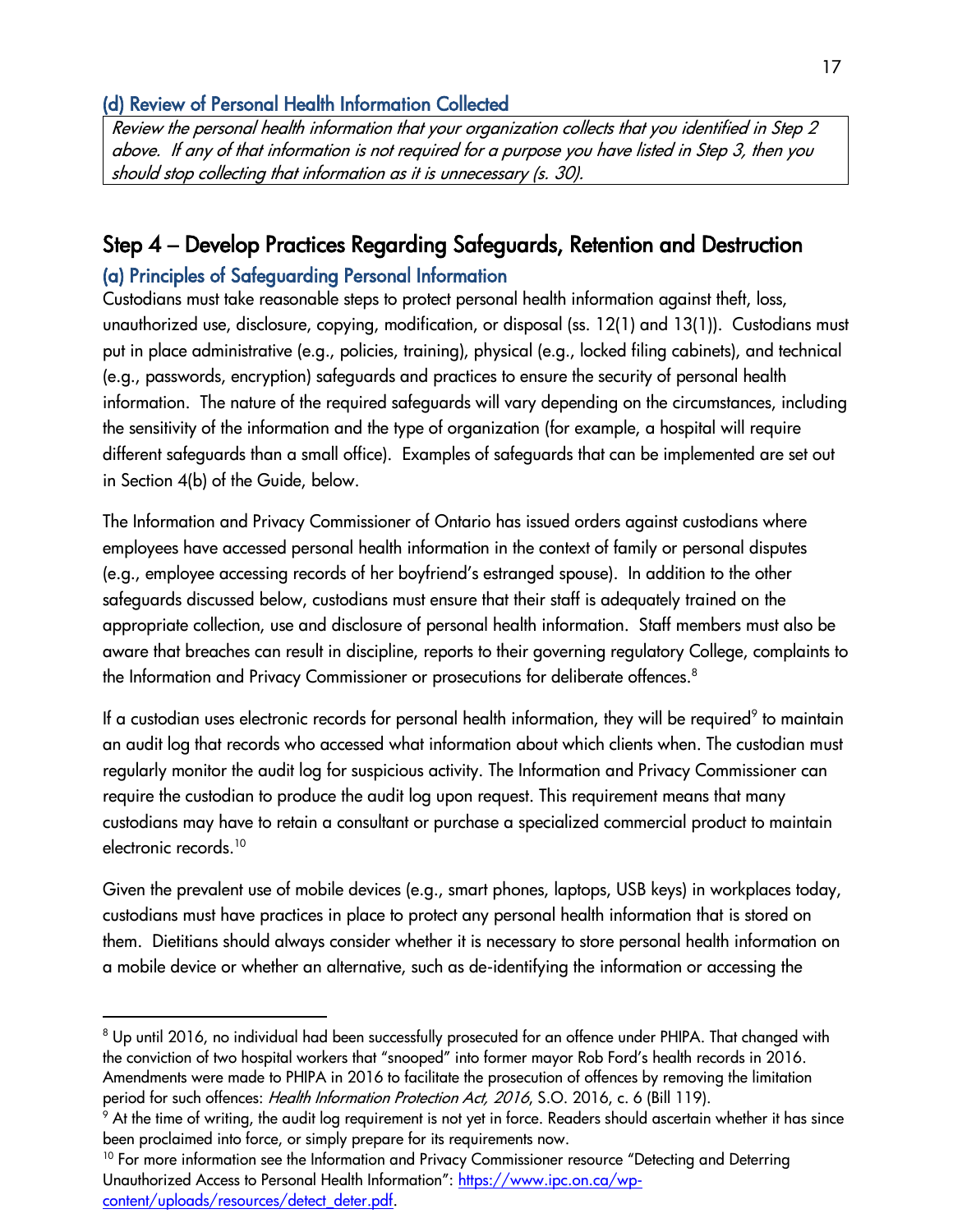#### <span id="page-16-0"></span>(d) Review of Personal Health Information Collected

Review the personal health information that your organization collects that you identified in Step 2 above. If any of that information is not required for a purpose you have listed in Step 3, then you should stop collecting that information as it is unnecessary (s. 30).

## <span id="page-16-2"></span><span id="page-16-1"></span>Step 4 – Develop Practices Regarding Safeguards, Retention and Destruction (a) Principles of Safeguarding Personal Information

Custodians must take reasonable steps to protect personal health information against theft, loss, unauthorized use, disclosure, copying, modification, or disposal (ss. 12(1) and 13(1)). Custodians must put in place administrative (e.g., policies, training), physical (e.g., locked filing cabinets), and technical (e.g., passwords, encryption) safeguards and practices to ensure the security of personal health information. The nature of the required safeguards will vary depending on the circumstances, including the sensitivity of the information and the type of organization (for example, a hospital will require different safeguards than a small office). Examples of safeguards that can be implemented are set out in Section 4(b) of the Guide, below.

The Information and Privacy Commissioner of Ontario has issued orders against custodians where employees have accessed personal health information in the context of family or personal disputes (e.g., employee accessing records of her boyfriend's estranged spouse). In addition to the other safeguards discussed below, custodians must ensure that their staff is adequately trained on the appropriate collection, use and disclosure of personal health information. Staff members must also be aware that breaches can result in discipline, reports to their governing regulatory College, complaints to the Information and Privacy Commissioner or prosecutions for deliberate offences.<sup>8</sup>

If a custodian uses electronic records for personal health information, they will be required $^{\circ}$  to maintain an audit log that records who accessed what information about which clients when. The custodian must regularly monitor the audit log for suspicious activity. The Information and Privacy Commissioner can require the custodian to produce the audit log upon request. This requirement means that many custodians may have to retain a consultant or purchase a specialized commercial product to maintain electronic records.<sup>10</sup>

Given the prevalent use of mobile devices (e.g., smart phones, laptops, USB keys) in workplaces today, custodians must have practices in place to protect any personal health information that is stored on them. Dietitians should always consider whether it is necessary to store personal health information on a mobile device or whether an alternative, such as de-identifying the information or accessing the

<sup>&</sup>lt;sup>8</sup> Up until 2016, no individual had been successfully prosecuted for an offence under PHIPA. That changed with the conviction of two hospital workers that "snooped" into former mayor Rob Ford's health records in 2016. Amendments were made to PHIPA in 2016 to facilitate the prosecution of offences by removing the limitation period for such offences: *Health Information Protection Act, 2016*, S.O. 2016, c. 6 (Bill 119).

 $9$  At the time of writing, the audit log requirement is not yet in force. Readers should ascertain whether it has since been proclaimed into force, or simply prepare for its requirements now.

<sup>&</sup>lt;sup>10</sup> For more information see the Information and Privacy Commissioner resource "Detecting and Deterring Unauthorized Access to Personal Health Information": [https://www.ipc.on.ca/wp](https://www.ipc.on.ca/wp-content/uploads/resources/detect_deter.pdf)[content/uploads/resources/detect\\_deter.pdf.](https://www.ipc.on.ca/wp-content/uploads/resources/detect_deter.pdf)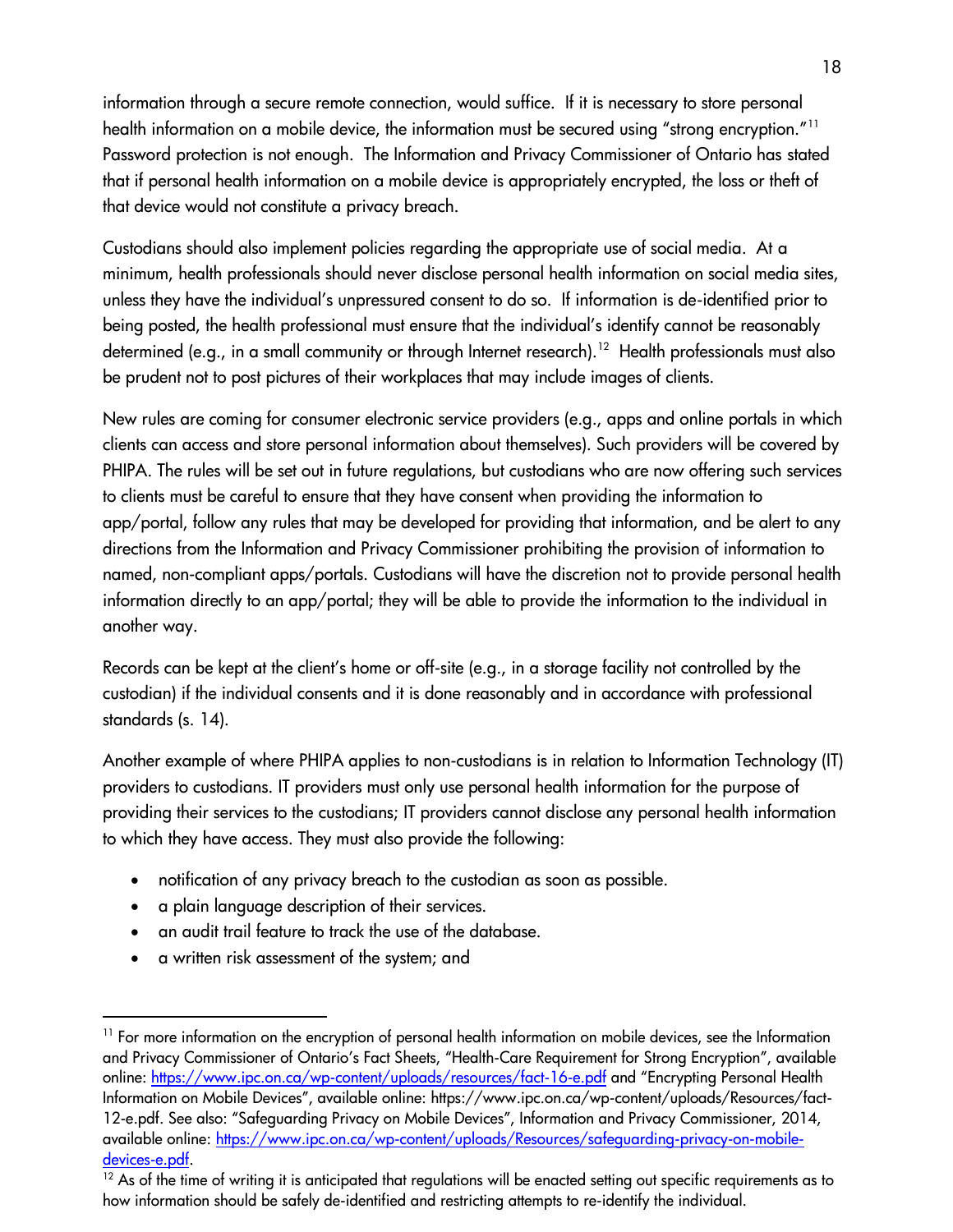information through a secure remote connection, would suffice. If it is necessary to store personal health information on a mobile device, the information must be secured using "strong encryption."<sup>11</sup> Password protection is not enough. The Information and Privacy Commissioner of Ontario has stated that if personal health information on a mobile device is appropriately encrypted, the loss or theft of that device would not constitute a privacy breach.

Custodians should also implement policies regarding the appropriate use of social media. At a minimum, health professionals should never disclose personal health information on social media sites, unless they have the individual's unpressured consent to do so. If information is de-identified prior to being posted, the health professional must ensure that the individual's identify cannot be reasonably determined (e.g., in a small community or through Internet research). $^{12}$  Health professionals must also be prudent not to post pictures of their workplaces that may include images of clients.

New rules are coming for consumer electronic service providers (e.g., apps and online portals in which clients can access and store personal information about themselves). Such providers will be covered by PHIPA. The rules will be set out in future regulations, but custodians who are now offering such services to clients must be careful to ensure that they have consent when providing the information to app/portal, follow any rules that may be developed for providing that information, and be alert to any directions from the Information and Privacy Commissioner prohibiting the provision of information to named, non-compliant apps/portals. Custodians will have the discretion not to provide personal health information directly to an app/portal; they will be able to provide the information to the individual in another way.

Records can be kept at the client's home or off-site (e.g., in a storage facility not controlled by the custodian) if the individual consents and it is done reasonably and in accordance with professional standards (s. 14).

Another example of where PHIPA applies to non-custodians is in relation to Information Technology (IT) providers to custodians. IT providers must only use personal health information for the purpose of providing their services to the custodians; IT providers cannot disclose any personal health information to which they have access. They must also provide the following:

- notification of any privacy breach to the custodian as soon as possible.
- a plain language description of their services.
- an audit trail feature to track the use of the database.
- a written risk assessment of the system; and

<sup>&</sup>lt;sup>11</sup> For more information on the encryption of personal health information on mobile devices, see the Information and Privacy Commissioner of Ontario's Fact Sheets, "Health-Care Requirement for Strong Encryption", available online:<https://www.ipc.on.ca/wp-content/uploads/resources/fact-16-e.pdf> and "Encrypting Personal Health Information on Mobile Devices", available online: https://www.ipc.on.ca/wp-content/uploads/Resources/fact-12-e.pdf. See also: "Safeguarding Privacy on Mobile Devices", Information and Privacy Commissioner, 2014, available online: [https://www.ipc.on.ca/wp-content/uploads/Resources/safeguarding-privacy-on-mobile](https://www.ipc.on.ca/wp-content/uploads/Resources/safeguarding-privacy-on-mobile-devices-e.pdf)[devices-e.pdf.](https://www.ipc.on.ca/wp-content/uploads/Resources/safeguarding-privacy-on-mobile-devices-e.pdf)

<sup>&</sup>lt;sup>12</sup> As of the time of writing it is anticipated that regulations will be enacted setting out specific requirements as to how information should be safely de-identified and restricting attempts to re-identify the individual.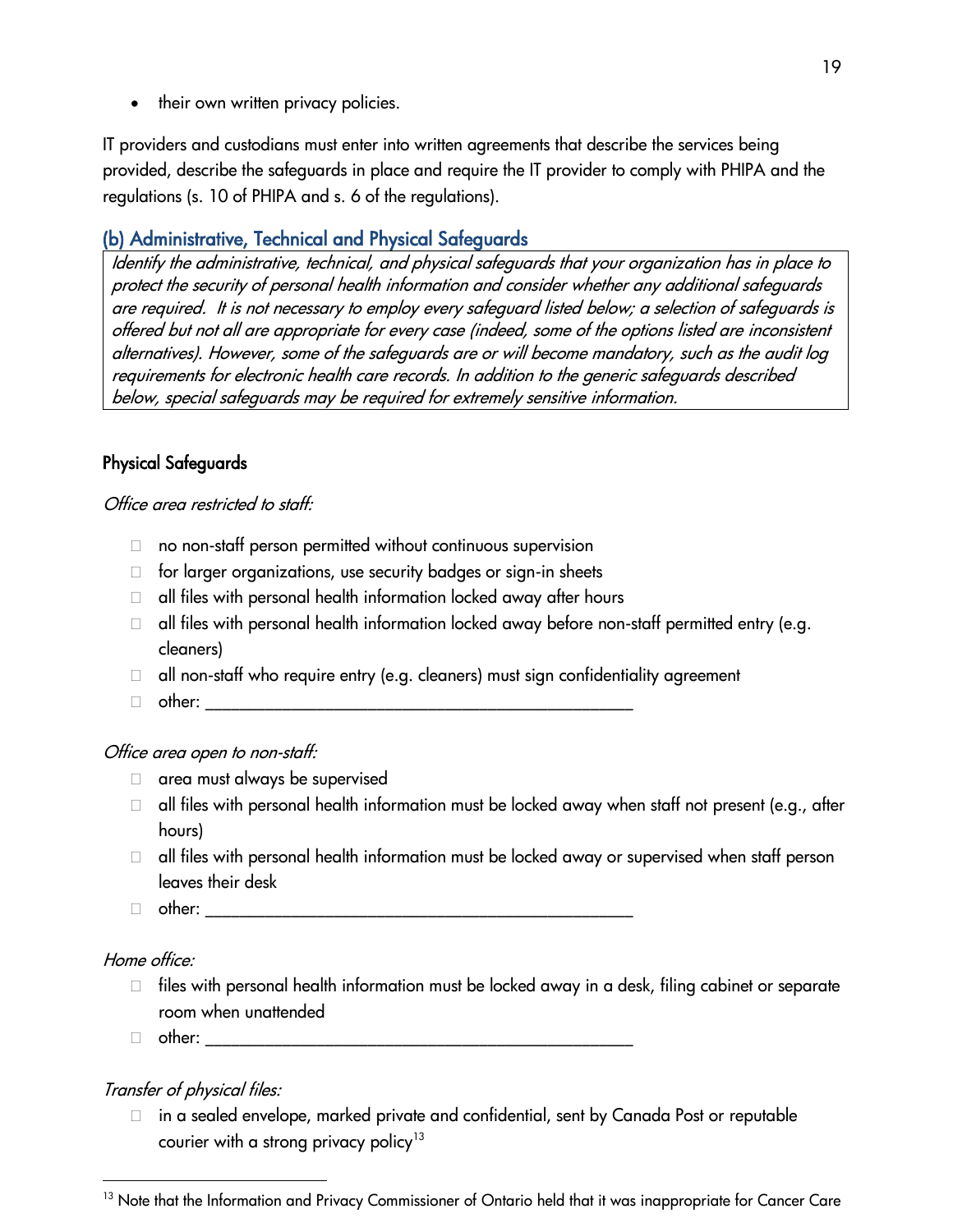• their own written privacy policies.

IT providers and custodians must enter into written agreements that describe the services being provided, describe the safeguards in place and require the IT provider to comply with PHIPA and the regulations (s. 10 of PHIPA and s. 6 of the regulations).

### <span id="page-18-0"></span>(b) Administrative, Technical and Physical Safeguards

Identify the administrative, technical, and physical safeguards that your organization has in place to protect the security of personal health information and consider whether any additional safeguards are required. It is not necessary to employ every safeguard listed below; a selection of safeguards is offered but not all are appropriate for every case (indeed, some of the options listed are inconsistent alternatives). However, some of the safeguards are or will become mandatory, such as the audit log requirements for electronic health care records. In addition to the generic safeguards described below, special safeguards may be required for extremely sensitive information.

### Physical Safeguards

#### Office area restricted to staff:

- $\Box$  no non-staff person permitted without continuous supervision
- □ for larger organizations, use security badges or sign-in sheets
- $\Box$  all files with personal health information locked away after hours
- $\Box$  all files with personal health information locked away before non-staff permitted entry (e.g. cleaners)
- $\Box$  all non-staff who require entry (e.g. cleaners) must sign confidentiality agreement
- $\Box$  other:

#### Office area open to non-staff:

- $\Box$  area must always be supervised
- $\Box$  all files with personal health information must be locked away when staff not present (e.g., after hours)
- $\Box$  all files with personal health information must be locked away or supervised when staff person leaves their desk
- other: \_\_\_\_\_\_\_\_\_\_\_\_\_\_\_\_\_\_\_\_\_\_\_\_\_\_\_\_\_\_\_\_\_\_\_\_\_\_\_\_\_\_\_\_\_\_\_\_\_\_

#### Home office:

- $\Box$  files with personal health information must be locked away in a desk, filing cabinet or separate room when unattended
- $\Box$  other:

#### Transfer of physical files:

□ in a sealed envelope, marked private and confidential, sent by Canada Post or reputable courier with a strong privacy policy<sup>13</sup>

<sup>&</sup>lt;sup>13</sup> Note that the Information and Privacy Commissioner of Ontario held that it was inappropriate for Cancer Care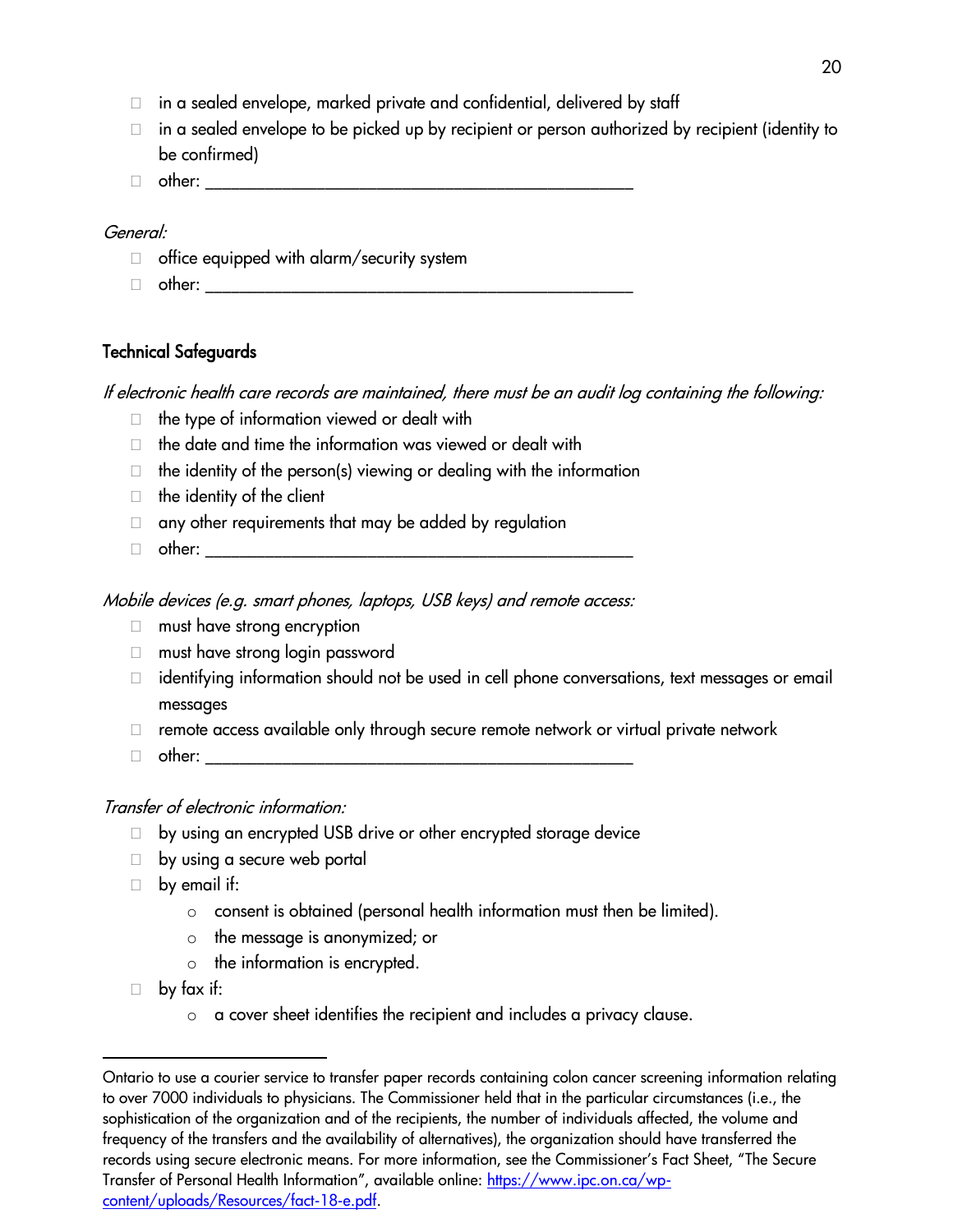- $\Box$  in a sealed envelope, marked private and confidential, delivered by staff
- $\Box$  in a sealed envelope to be picked up by recipient or person authorized by recipient (identity to be confirmed)
- $\Box$  other:

#### General:

- $\Box$  office equipped with alarm/security system
- other: \_\_\_\_\_\_\_\_\_\_\_\_\_\_\_\_\_\_\_\_\_\_\_\_\_\_\_\_\_\_\_\_\_\_\_\_\_\_\_\_\_\_\_\_\_\_\_\_\_\_

### Technical Safeguards

If electronic health care records are maintained, there must be an audit log containing the following:

- $\Box$  the type of information viewed or dealt with
- $\Box$  the date and time the information was viewed or dealt with
- $\Box$  the identity of the person(s) viewing or dealing with the information
- $\Box$  the identity of the client
- $\Box$  any other requirements that may be added by regulation
- $\Box$  other:

Mobile devices (e.g. smart phones, laptops, USB keys) and remote access:

- □ must have strong encryption
- must have strong login password
- $\Box$  identifying information should not be used in cell phone conversations, text messages or email messages
- $\Box$  remote access available only through secure remote network or virtual private network
- $\Box$  other:

#### Transfer of electronic information:

- $\Box$  by using an encrypted USB drive or other encrypted storage device
- □ by using a secure web portal
- □ by email if:
	- o consent is obtained (personal health information must then be limited).
	- o the message is anonymized; or
	- o the information is encrypted.
- $\Box$  by fax if:
	- $\circ$  a cover sheet identifies the recipient and includes a privacy clause.

Ontario to use a courier service to transfer paper records containing colon cancer screening information relating to over 7000 individuals to physicians. The Commissioner held that in the particular circumstances (i.e., the sophistication of the organization and of the recipients, the number of individuals affected, the volume and frequency of the transfers and the availability of alternatives), the organization should have transferred the records using secure electronic means. For more information, see the Commissioner's Fact Sheet, "The Secure Transfer of Personal Health Information", available online: [https://www.ipc.on.ca/wp](https://www.ipc.on.ca/wp-content/uploads/Resources/fact-18-e.pdf)[content/uploads/Resources/fact-18-e.pdf.](https://www.ipc.on.ca/wp-content/uploads/Resources/fact-18-e.pdf)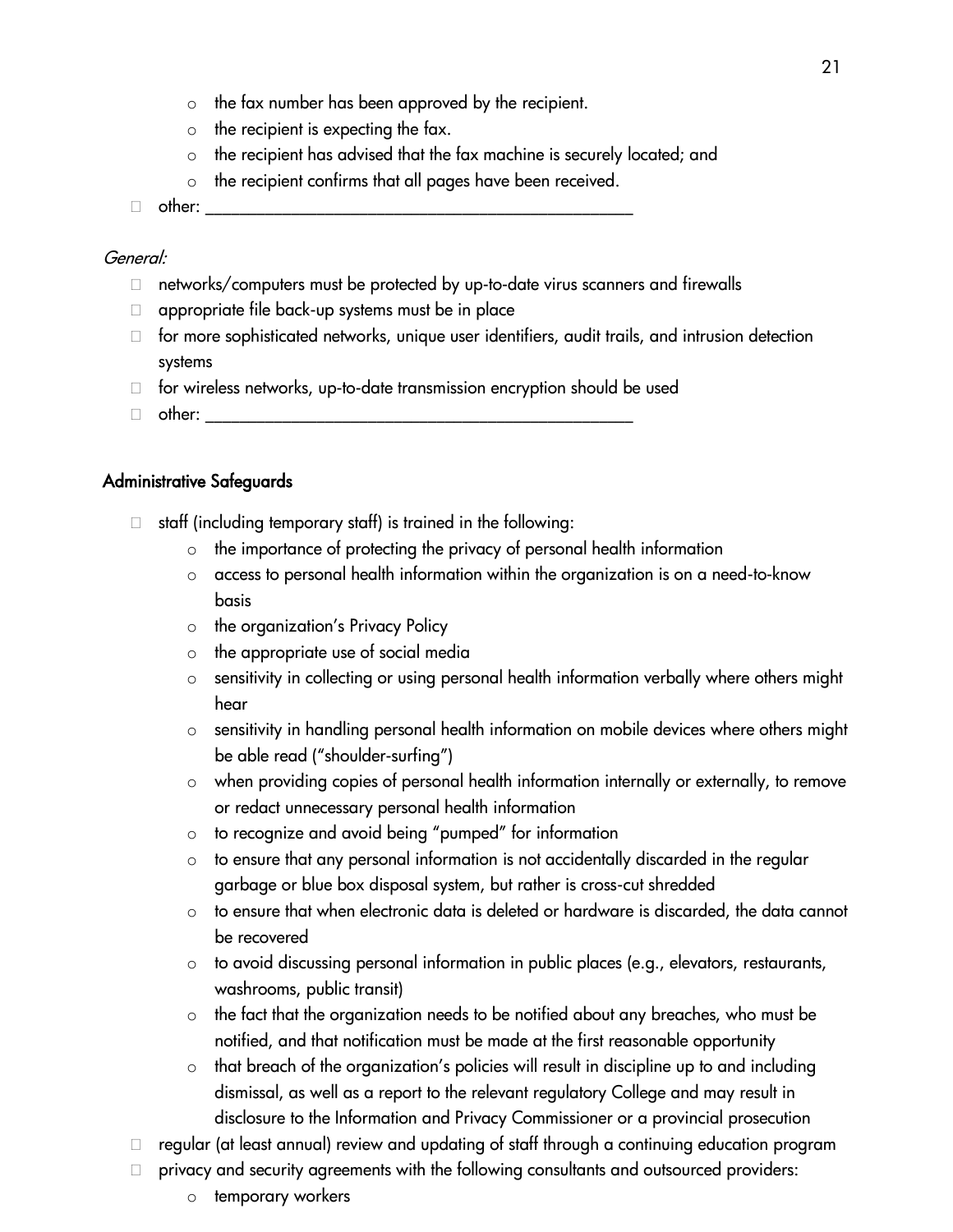- $\circ$  the fax number has been approved by the recipient.
- $\circ$  the recipient is expecting the fax.
- o the recipient has advised that the fax machine is securely located; and
- o the recipient confirms that all pages have been received.
- $\Box$  other:

#### General:

- □ networks/computers must be protected by up-to-date virus scanners and firewalls
- $\Box$  appropriate file back-up systems must be in place
- $\Box$  for more sophisticated networks, unique user identifiers, audit trails, and intrusion detection systems
- □ for wireless networks, up-to-date transmission encryption should be used
- $\Box$  other:

### Administrative Safeguards

- $\Box$  staff (including temporary staff) is trained in the following:
	- the importance of protecting the privacy of personal health information
	- o access to personal health information within the organization is on a need-to-know basis
	- o the organization's Privacy Policy
	- o the appropriate use of social media
	- o sensitivity in collecting or using personal health information verbally where others might hear
	- $\circ$  sensitivity in handling personal health information on mobile devices where others might be able read ("shoulder-surfing")
	- o when providing copies of personal health information internally or externally, to remove or redact unnecessary personal health information
	- o to recognize and avoid being "pumped" for information
	- $\circ$  to ensure that any personal information is not accidentally discarded in the regular garbage or blue box disposal system, but rather is cross-cut shredded
	- $\circ$  to ensure that when electronic data is deleted or hardware is discarded, the data cannot be recovered
	- o to avoid discussing personal information in public places (e.g., elevators, restaurants, washrooms, public transit)
	- $\circ$  the fact that the organization needs to be notified about any breaches, who must be notified, and that notification must be made at the first reasonable opportunity
	- $\circ$  that breach of the organization's policies will result in discipline up to and including dismissal, as well as a report to the relevant regulatory College and may result in disclosure to the Information and Privacy Commissioner or a provincial prosecution
- $\Box$  regular (at least annual) review and updating of staff through a continuing education program
- $\Box$  privacy and security agreements with the following consultants and outsourced providers:
	- o temporary workers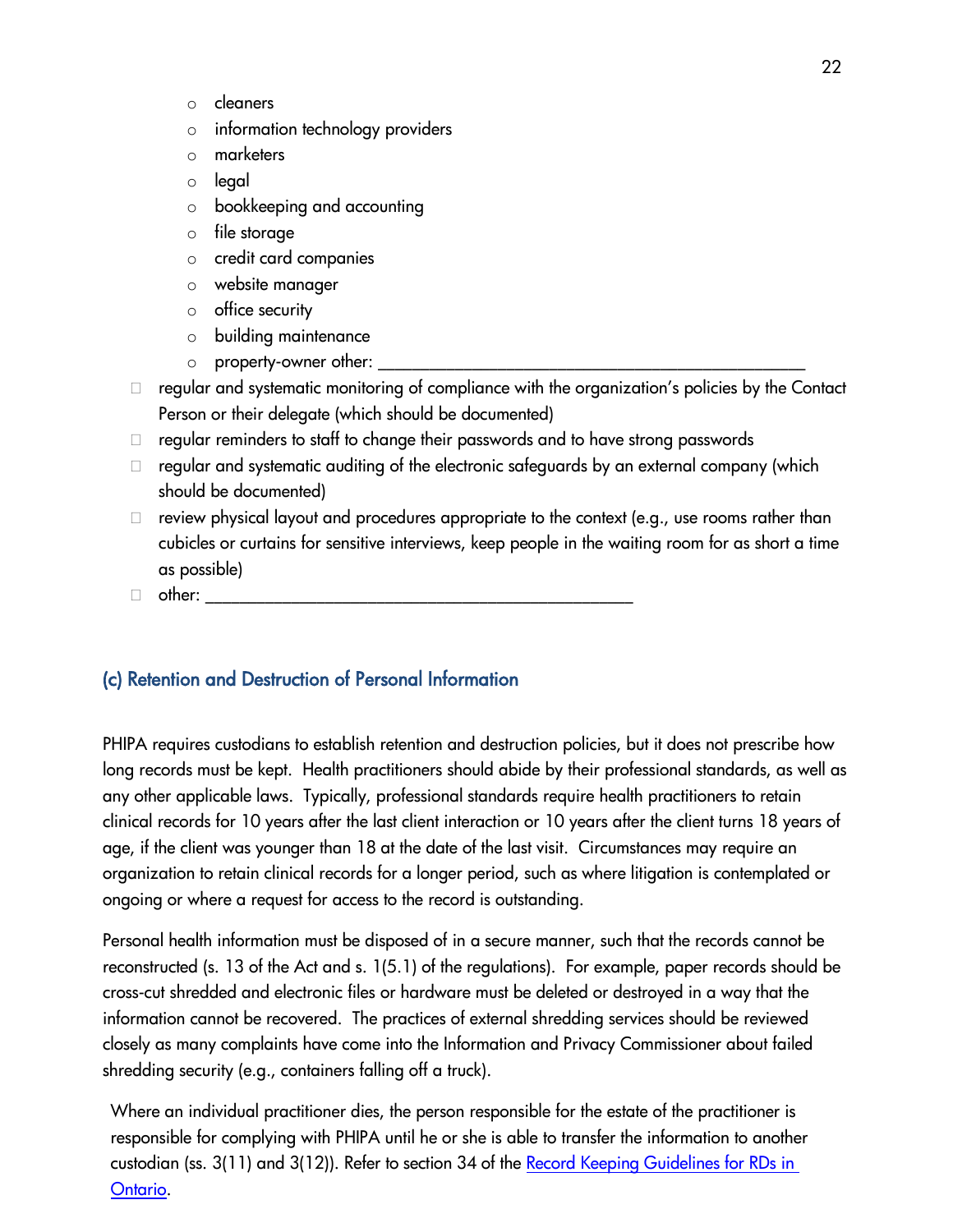- o cleaners
- o information technology providers
- o marketers
- o legal
- o bookkeeping and accounting
- o file storage
- o credit card companies
- o website manager
- o office security
- o building maintenance
- $\circ$  property-owner other:
- regular and systematic monitoring of compliance with the organization's policies by the Contact Person or their delegate (which should be documented)
- $\Box$  regular reminders to staff to change their passwords and to have strong passwords
- $\Box$  regular and systematic auditing of the electronic safeguards by an external company (which should be documented)
- $\Box$  review physical layout and procedures appropriate to the context (e.g., use rooms rather than cubicles or curtains for sensitive interviews, keep people in the waiting room for as short a time as possible)
- $\Box$  other:

#### <span id="page-21-0"></span>(c) Retention and Destruction of Personal Information

PHIPA requires custodians to establish retention and destruction policies, but it does not prescribe how long records must be kept. Health practitioners should abide by their professional standards, as well as any other applicable laws. Typically, professional standards require health practitioners to retain clinical records for 10 years after the last client interaction or 10 years after the client turns 18 years of age, if the client was younger than 18 at the date of the last visit. Circumstances may require an organization to retain clinical records for a longer period, such as where litigation is contemplated or ongoing or where a request for access to the record is outstanding.

Personal health information must be disposed of in a secure manner, such that the records cannot be reconstructed (s. 13 of the Act and s. 1(5.1) of the regulations). For example, paper records should be cross-cut shredded and electronic files or hardware must be deleted or destroyed in a way that the information cannot be recovered. The practices of external shredding services should be reviewed closely as many complaints have come into the Information and Privacy Commissioner about failed shredding security (e.g., containers falling off a truck).

Where an individual practitioner dies, the person responsible for the estate of the practitioner is responsible for complying with PHIPA until he or she is able to transfer the information to another custodian (ss. 3(11) and 3(12)). Refer to section 34 of the Record Keeping Guidelines for RDs in [Ontario.](http://www.collegeofdietitians.org/Resources/Record-Keeping/RecordKeepingGuide2014.aspx)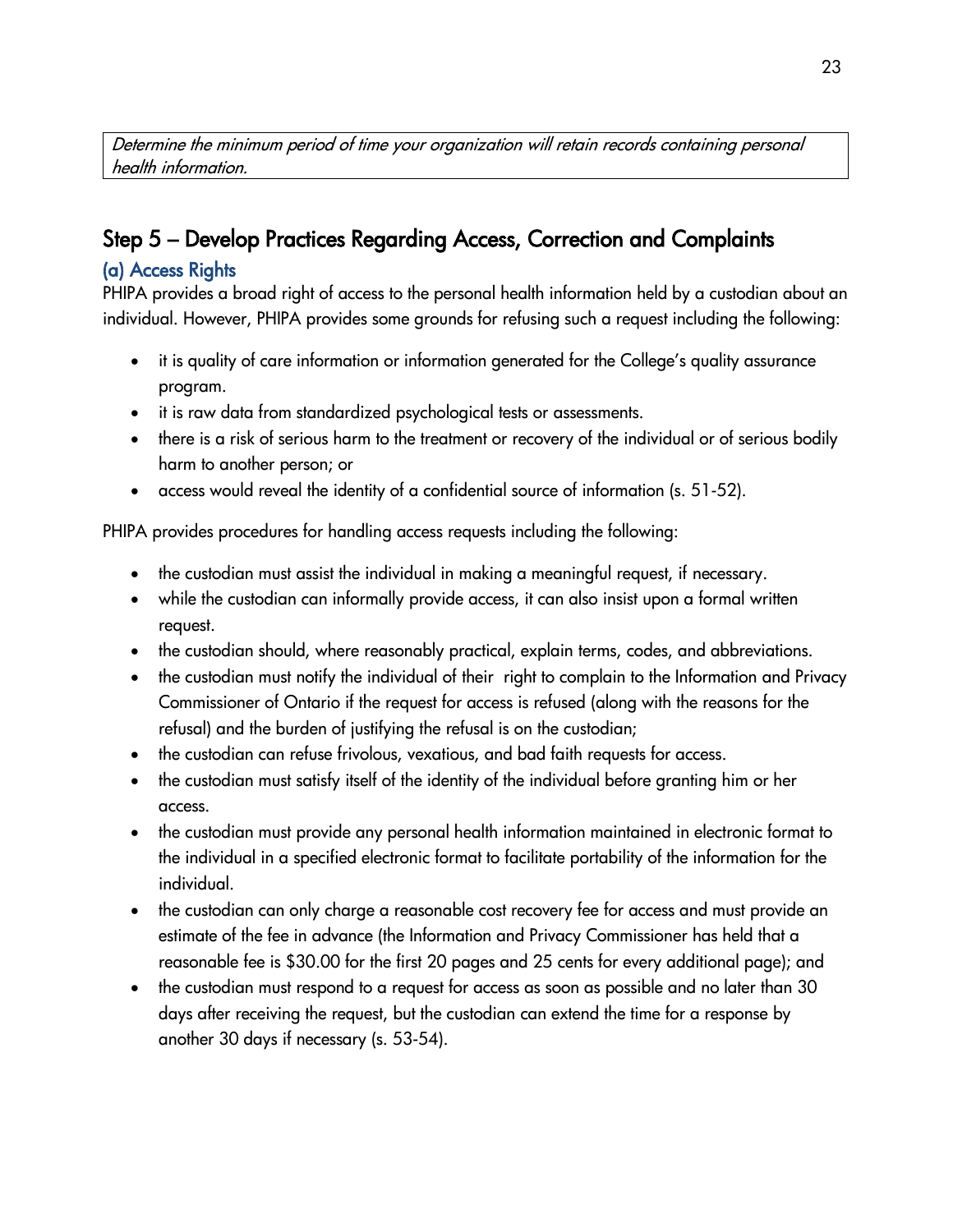Determine the minimum period of time your organization will retain records containing personal health information.

## <span id="page-22-0"></span>Step 5 – Develop Practices Regarding Access, Correction and Complaints (a) Access Rights

<span id="page-22-1"></span>PHIPA provides a broad right of access to the personal health information held by a custodian about an individual. However, PHIPA provides some grounds for refusing such a request including the following:

- it is quality of care information or information generated for the College's quality assurance program.
- it is raw data from standardized psychological tests or assessments.
- there is a risk of serious harm to the treatment or recovery of the individual or of serious bodily harm to another person; or
- access would reveal the identity of a confidential source of information (s. 51-52).

PHIPA provides procedures for handling access requests including the following:

- the custodian must assist the individual in making a meaningful request, if necessary.
- while the custodian can informally provide access, it can also insist upon a formal written request.
- the custodian should, where reasonably practical, explain terms, codes, and abbreviations.
- the custodian must notify the individual of their right to complain to the Information and Privacy Commissioner of Ontario if the request for access is refused (along with the reasons for the refusal) and the burden of justifying the refusal is on the custodian;
- the custodian can refuse frivolous, vexatious, and bad faith requests for access.
- the custodian must satisfy itself of the identity of the individual before granting him or her access.
- the custodian must provide any personal health information maintained in electronic format to the individual in a specified electronic format to facilitate portability of the information for the individual.
- the custodian can only charge a reasonable cost recovery fee for access and must provide an estimate of the fee in advance (the Information and Privacy Commissioner has held that a reasonable fee is \$30.00 for the first 20 pages and 25 cents for every additional page); and
- the custodian must respond to a request for access as soon as possible and no later than 30 days after receiving the request, but the custodian can extend the time for a response by another 30 days if necessary (s. 53-54).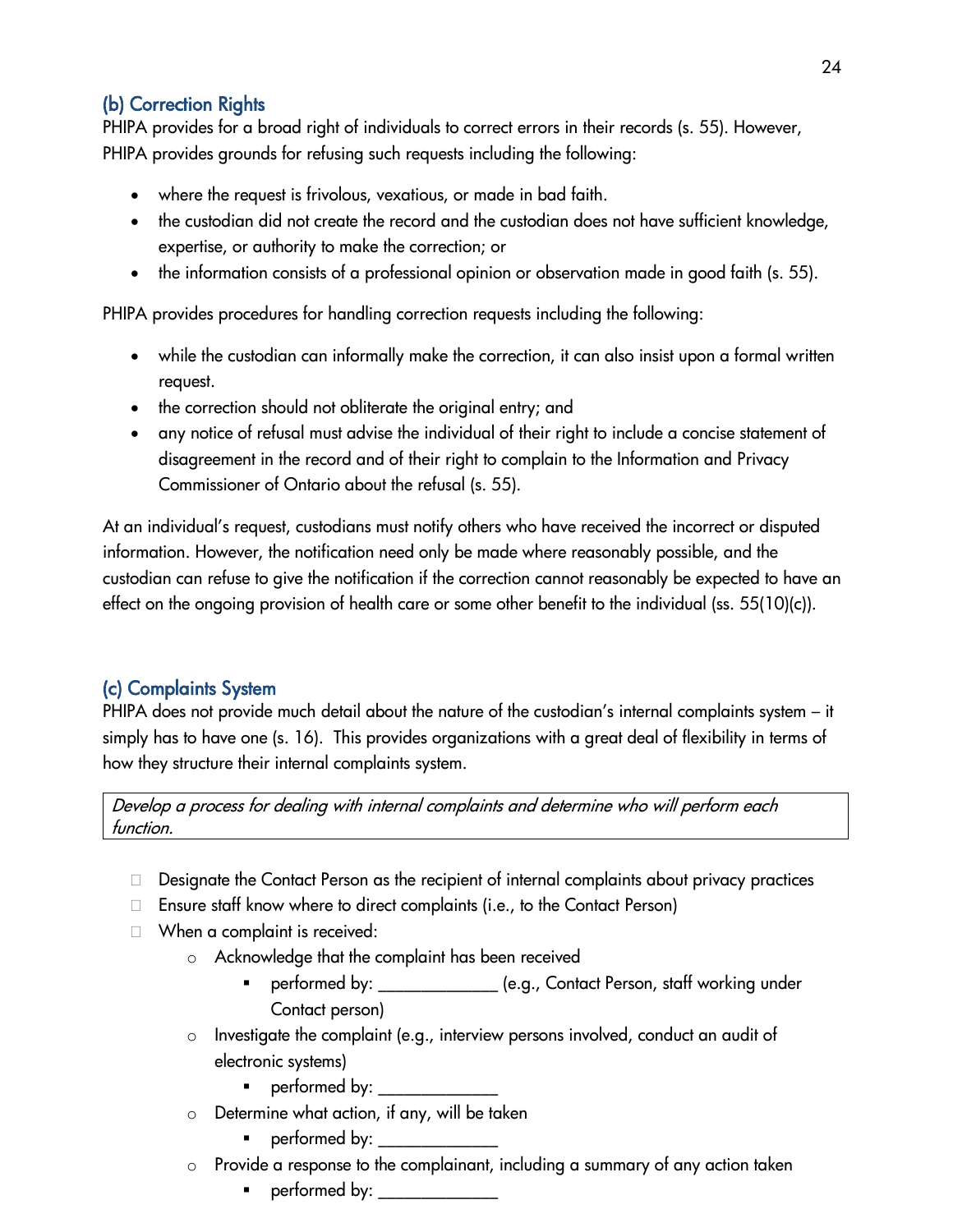## <span id="page-23-0"></span>(b) Correction Rights

PHIPA provides for a broad right of individuals to correct errors in their records (s. 55). However, PHIPA provides grounds for refusing such requests including the following:

- where the request is frivolous, vexatious, or made in bad faith.
- the custodian did not create the record and the custodian does not have sufficient knowledge, expertise, or authority to make the correction; or
- the information consists of a professional opinion or observation made in good faith (s. 55).

PHIPA provides procedures for handling correction requests including the following:

- while the custodian can informally make the correction, it can also insist upon a formal written request.
- the correction should not obliterate the original entry; and
- any notice of refusal must advise the individual of their right to include a concise statement of disagreement in the record and of their right to complain to the Information and Privacy Commissioner of Ontario about the refusal (s. 55).

At an individual's request, custodians must notify others who have received the incorrect or disputed information. However, the notification need only be made where reasonably possible, and the custodian can refuse to give the notification if the correction cannot reasonably be expected to have an effect on the ongoing provision of health care or some other benefit to the individual (ss. 55(10)(c)).

## <span id="page-23-1"></span>(c) Complaints System

PHIPA does not provide much detail about the nature of the custodian's internal complaints system – it simply has to have one (s. 16). This provides organizations with a great deal of flexibility in terms of how they structure their internal complaints system.

Develop a process for dealing with internal complaints and determine who will perform each function.

- $\Box$  Designate the Contact Person as the recipient of internal complaints about privacy practices
- $\Box$  Ensure staff know where to direct complaints (i.e., to the Contact Person)
- □ When a complaint is received:
	- o Acknowledge that the complaint has been received
		- performed by: \_\_\_\_\_\_\_\_\_\_\_\_\_\_\_(e.g., Contact Person, staff working under Contact person)
	- o Investigate the complaint (e.g., interview persons involved, conduct an audit of electronic systems)
		- performed by: \_\_\_\_\_\_\_\_\_\_\_\_\_\_
	- $\circ$  Determine what action, if any, will be taken
		- $\blacksquare$  performed by:
	- o Provide a response to the complainant, including a summary of any action taken
		- performed by: \_\_\_\_\_\_\_\_\_\_\_\_\_\_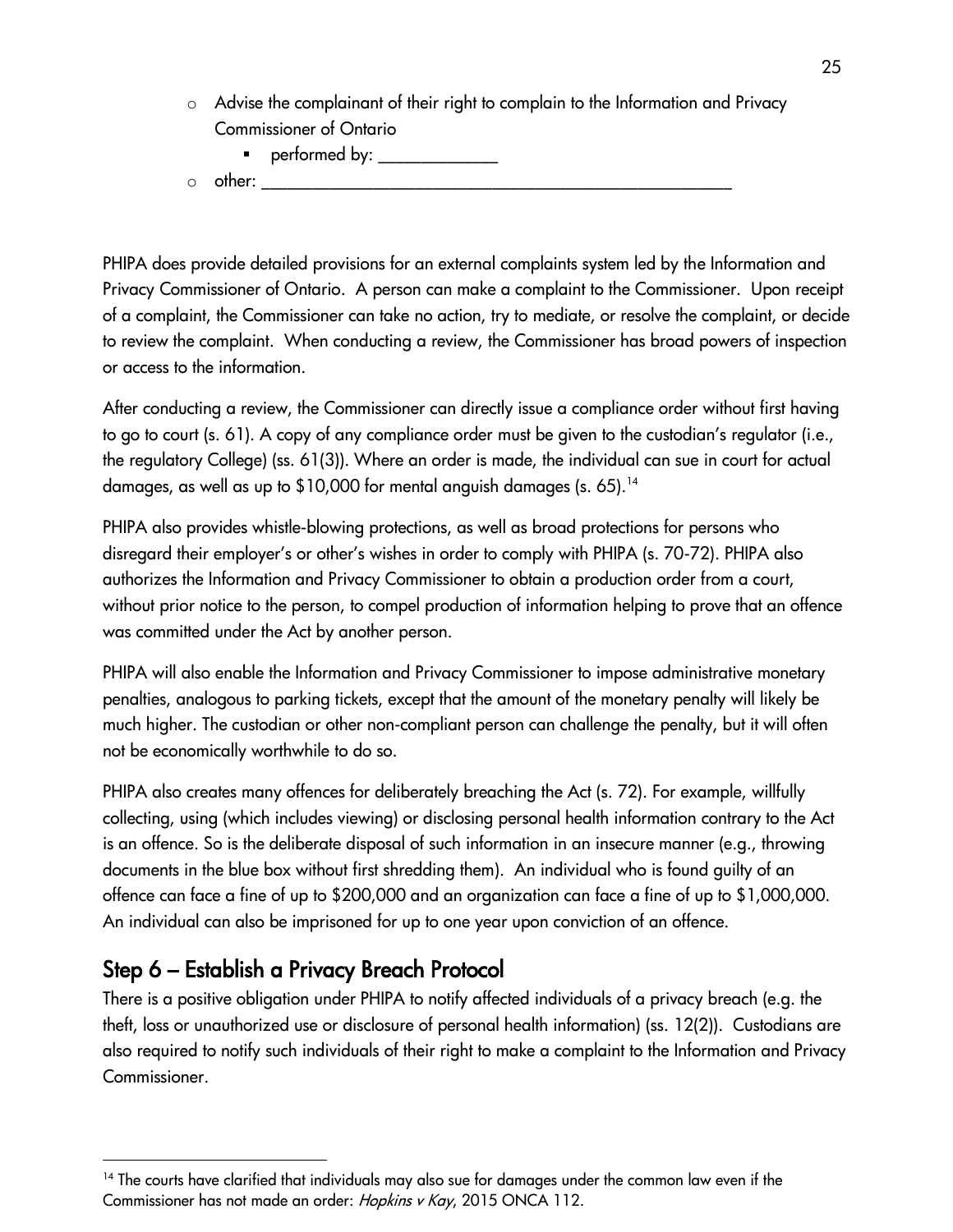- o Advise the complainant of their right to complain to the Information and Privacy Commissioner of Ontario
	- performed by: \_\_\_\_\_\_\_\_\_\_\_\_\_\_
- o other: \_\_\_\_\_\_\_\_\_\_\_\_\_\_\_\_\_\_\_\_\_\_\_\_\_\_\_\_\_\_\_\_\_\_\_\_\_\_\_\_\_\_\_\_\_\_\_\_\_\_\_\_\_\_\_

PHIPA does provide detailed provisions for an external complaints system led by the Information and Privacy Commissioner of Ontario. A person can make a complaint to the Commissioner. Upon receipt of a complaint, the Commissioner can take no action, try to mediate, or resolve the complaint, or decide to review the complaint. When conducting a review, the Commissioner has broad powers of inspection or access to the information.

After conducting a review, the Commissioner can directly issue a compliance order without first having to go to court (s. 61). A copy of any compliance order must be given to the custodian's regulator (i.e., the regulatory College) (ss. 61(3)). Where an order is made, the individual can sue in court for actual damages, as well as up to \$10,000 for mental anguish damages (s. 65).<sup>14</sup>

PHIPA also provides whistle-blowing protections, as well as broad protections for persons who disregard their employer's or other's wishes in order to comply with PHIPA (s. 70-72). PHIPA also authorizes the Information and Privacy Commissioner to obtain a production order from a court, without prior notice to the person, to compel production of information helping to prove that an offence was committed under the Act by another person.

PHIPA will also enable the Information and Privacy Commissioner to impose administrative monetary penalties, analogous to parking tickets, except that the amount of the monetary penalty will likely be much higher. The custodian or other non-compliant person can challenge the penalty, but it will often not be economically worthwhile to do so.

PHIPA also creates many offences for deliberately breaching the Act (s. 72). For example, willfully collecting, using (which includes viewing) or disclosing personal health information contrary to the Act is an offence. So is the deliberate disposal of such information in an insecure manner (e.g., throwing documents in the blue box without first shredding them). An individual who is found guilty of an offence can face a fine of up to \$200,000 and an organization can face a fine of up to \$1,000,000. An individual can also be imprisoned for up to one year upon conviction of an offence.

## <span id="page-24-0"></span>Step 6 – Establish a Privacy Breach Protocol

There is a positive obligation under PHIPA to notify affected individuals of a privacy breach (e.g. the theft, loss or unauthorized use or disclosure of personal health information) (ss. 12(2)). Custodians are also required to notify such individuals of their right to make a complaint to the Information and Privacy Commissioner.

<sup>&</sup>lt;sup>14</sup> The courts have clarified that individuals may also sue for damages under the common law even if the Commissioner has not made an order: Hopkins v Kay, 2015 ONCA 112.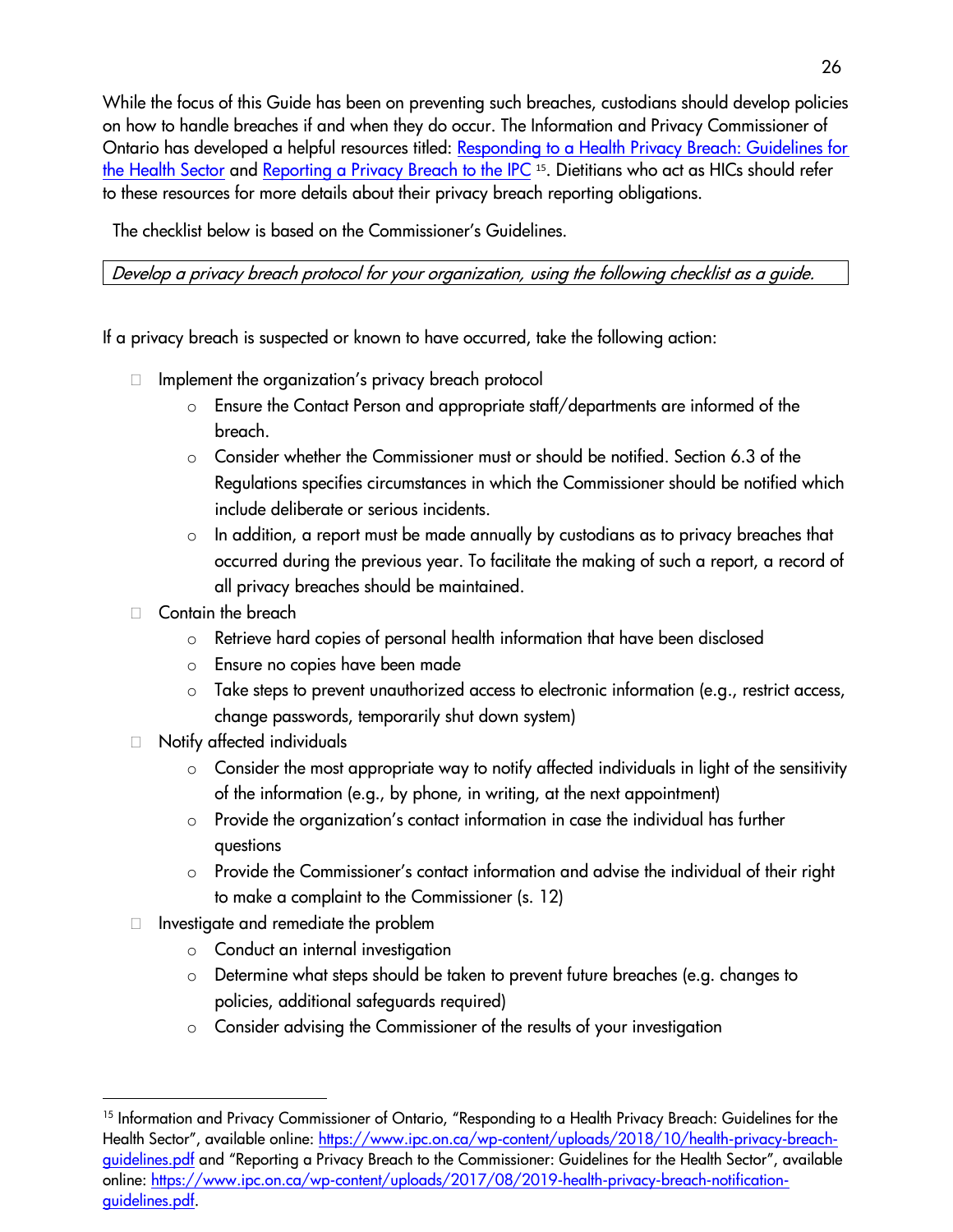$\mathbb{R}^2$ While the focus of this Guide has been on preventing such breaches, custodians should develop policies on how to handle breaches if and when they do occur. The Information and Privacy Commissioner of Ontario has developed a helpful resources titled: [Responding to a Health Privacy Breach: Guidelines for](https://www.ipc.on.ca/wp-content/uploads/2018/10/health-privacy-breach-guidelines.pdf)  [the Health Sector](https://www.ipc.on.ca/wp-content/uploads/2018/10/health-privacy-breach-guidelines.pdf) and <u>Reporting a Privacy Breach to the IPC</u> 15. Dietitians who act as HICs should refer to these resources for more details about their privacy breach reporting obligations.

The checklist below is based on the Commissioner's Guidelines.

Develop a privacy breach protocol for your organization, using the following checklist as a guide.

If a privacy breach is suspected or known to have occurred, take the following action:

- $\Box$  Implement the organization's privacy breach protocol
	- $\circ$  Ensure the Contact Person and appropriate staff/departments are informed of the breach.
	- $\circ$  Consider whether the Commissioner must or should be notified. Section 6.3 of the Regulations specifies circumstances in which the Commissioner should be notified which include deliberate or serious incidents.
	- $\circ$  In addition, a report must be made annually by custodians as to privacy breaches that occurred during the previous year. To facilitate the making of such a report, a record of all privacy breaches should be maintained.
- $\Box$  Contain the breach
	- o Retrieve hard copies of personal health information that have been disclosed
	- o Ensure no copies have been made
	- o Take steps to prevent unauthorized access to electronic information (e.g., restrict access, change passwords, temporarily shut down system)
- □ Notify affected individuals
	- $\circ$  Consider the most appropriate way to notify affected individuals in light of the sensitivity of the information (e.g., by phone, in writing, at the next appointment)
	- o Provide the organization's contact information in case the individual has further questions
	- o Provide the Commissioner's contact information and advise the individual of their right to make a complaint to the Commissioner (s. 12)
- $\Box$  Investigate and remediate the problem
	- o Conduct an internal investigation
		- o Determine what steps should be taken to prevent future breaches (e.g. changes to policies, additional safeguards required)
		- o Consider advising the Commissioner of the results of your investigation

<sup>&</sup>lt;sup>15</sup> Information and Privacy Commissioner of Ontario, "Responding to a Health Privacy Breach: Guidelines for the Health Sector", available online: [https://www.ipc.on.ca/wp-content/uploads/2018/10/health-privacy-breach](https://www.ipc.on.ca/wp-content/uploads/2018/10/health-privacy-breach-guidelines.pdf)[guidelines.pdf](https://www.ipc.on.ca/wp-content/uploads/2018/10/health-privacy-breach-guidelines.pdf) and "Reporting a Privacy Breach to the Commissioner: Guidelines for the Health Sector", available online: [https://www.ipc.on.ca/wp-content/uploads/2017/08/2019-health-privacy-breach-notification](https://www.ipc.on.ca/wp-content/uploads/2017/08/2019-health-privacy-breach-notification-guidelines.pdf)[guidelines.pdf.](https://www.ipc.on.ca/wp-content/uploads/2017/08/2019-health-privacy-breach-notification-guidelines.pdf)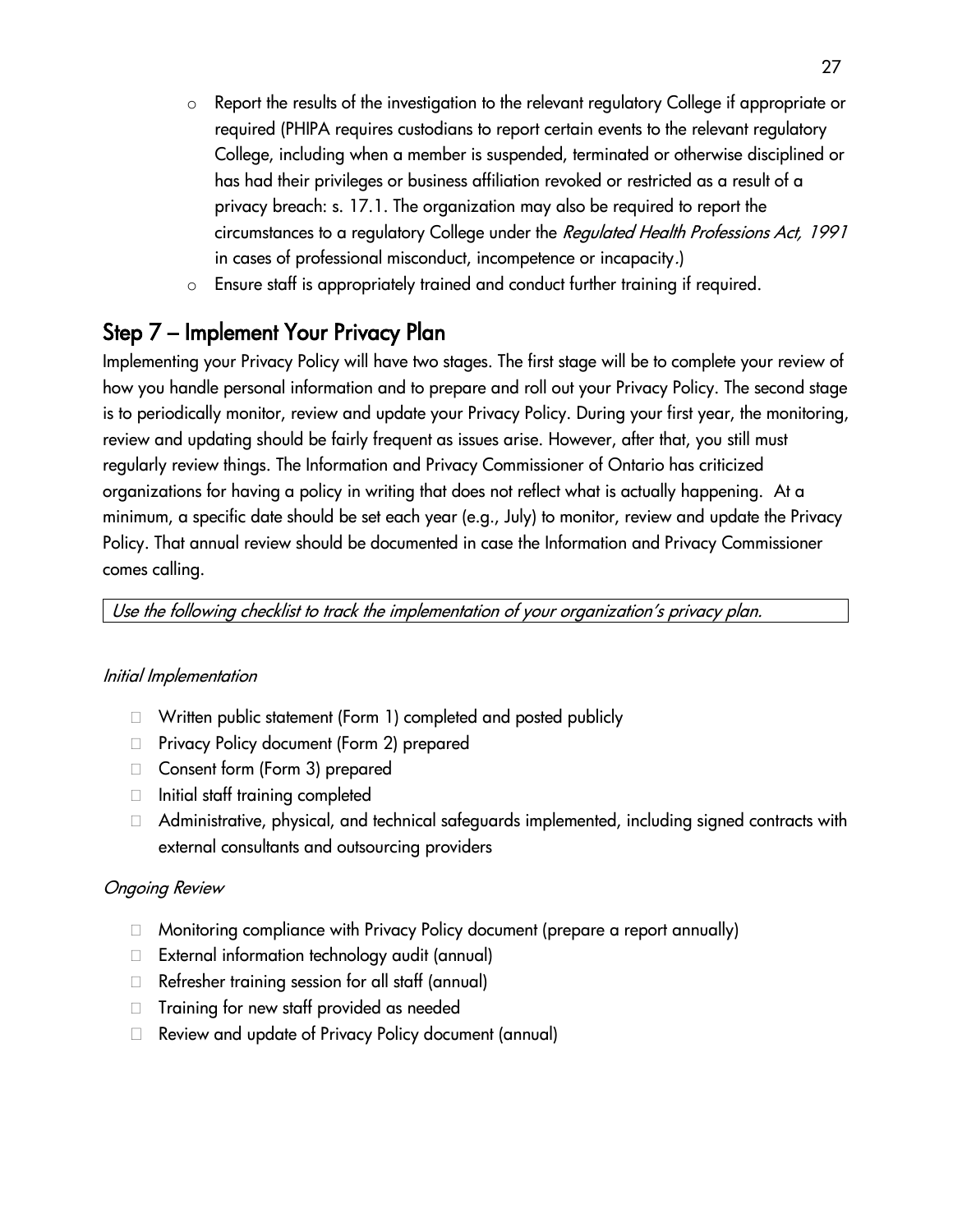- $\circ$   $\;$  Report the results of the investigation to the relevant regulatory College if appropriate or required (PHIPA requires custodians to report certain events to the relevant regulatory College, including when a member is suspended, terminated or otherwise disciplined or has had their privileges or business affiliation revoked or restricted as a result of a privacy breach: s. 17.1. The organization may also be required to report the circumstances to a regulatory College under the Regulated Health Professions Act, 1991 in cases of professional misconduct, incompetence or incapacity.)
- o Ensure staff is appropriately trained and conduct further training if required.

## <span id="page-26-0"></span>Step 7 – Implement Your Privacy Plan

Implementing your Privacy Policy will have two stages. The first stage will be to complete your review of how you handle personal information and to prepare and roll out your Privacy Policy. The second stage is to periodically monitor, review and update your Privacy Policy. During your first year, the monitoring, review and updating should be fairly frequent as issues arise. However, after that, you still must regularly review things. The Information and Privacy Commissioner of Ontario has criticized organizations for having a policy in writing that does not reflect what is actually happening. At a minimum, a specific date should be set each year (e.g., July) to monitor, review and update the Privacy Policy. That annual review should be documented in case the Information and Privacy Commissioner comes calling.

Use the following checklist to track the implementation of your organization's privacy plan.

#### Initial Implementation

- □ Written public statement (Form 1) completed and posted publicly
- □ Privacy Policy document (Form 2) prepared
- □ Consent form (Form 3) prepared
- $\Box$  Initial staff training completed
- □ Administrative, physical, and technical safeguards implemented, including signed contracts with external consultants and outsourcing providers

#### Ongoing Review

- Monitoring compliance with Privacy Policy document (prepare a report annually)
- □ External information technology audit (annual)
- Refresher training session for all staff (annual)
- $\Box$  Training for new staff provided as needed
- Review and update of Privacy Policy document (annual)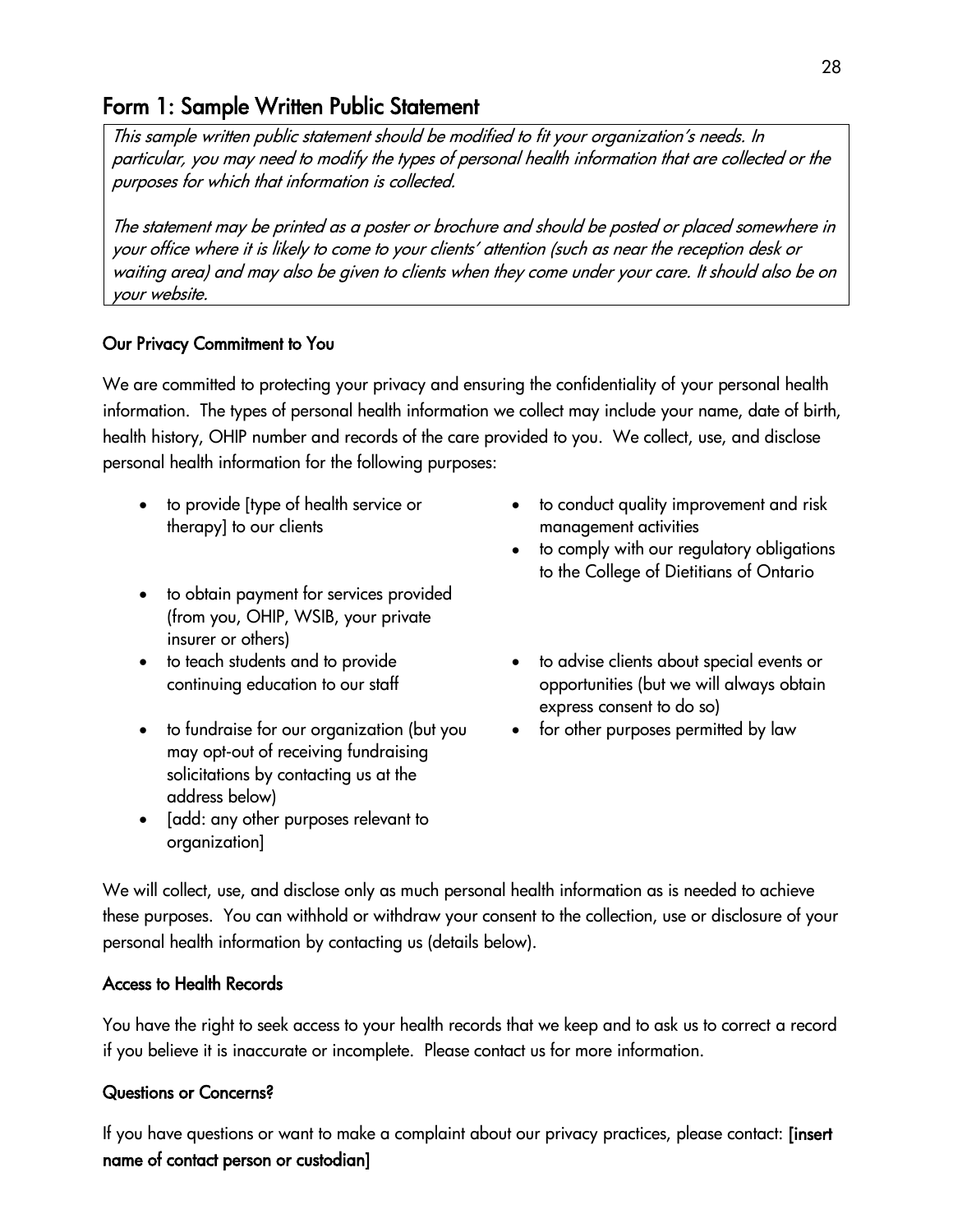## <span id="page-27-0"></span>Form 1: Sample Written Public Statement

This sample written public statement should be modified to fit your organization's needs. In particular, you may need to modify the types of personal health information that are collected or the purposes for which that information is collected.

The statement may be printed as a poster or brochure and should be posted or placed somewhere in your office where it is likely to come to your clients' attention (such as near the reception desk or waiting area) and may also be given to clients when they come under your care. It should also be on your website.

#### Our Privacy Commitment to You

We are committed to protecting your privacy and ensuring the confidentiality of your personal health information. The types of personal health information we collect may include your name, date of birth, health history, OHIP number and records of the care provided to you. We collect, use, and disclose personal health information for the following purposes:

- to provide [type of health service or therapy] to our clients
- to obtain payment for services provided (from you, OHIP, WSIB, your private insurer or others)
- to teach students and to provide continuing education to our staff
- to fundraise for our organization (but you may opt-out of receiving fundraising solicitations by contacting us at the address below)
- [add: any other purposes relevant to organization]
- to conduct quality improvement and risk management activities
- to comply with our regulatory obligations to the College of Dietitians of Ontario
- to advise clients about special events or opportunities (but we will always obtain express consent to do so)
- for other purposes permitted by law

We will collect, use, and disclose only as much personal health information as is needed to achieve these purposes. You can withhold or withdraw your consent to the collection, use or disclosure of your personal health information by contacting us (details below).

#### Access to Health Records

You have the right to seek access to your health records that we keep and to ask us to correct a record if you believe it is inaccurate or incomplete. Please contact us for more information.

#### Questions or Concerns?

If you have questions or want to make a complaint about our privacy practices, please contact: [insert name of contact person or custodian]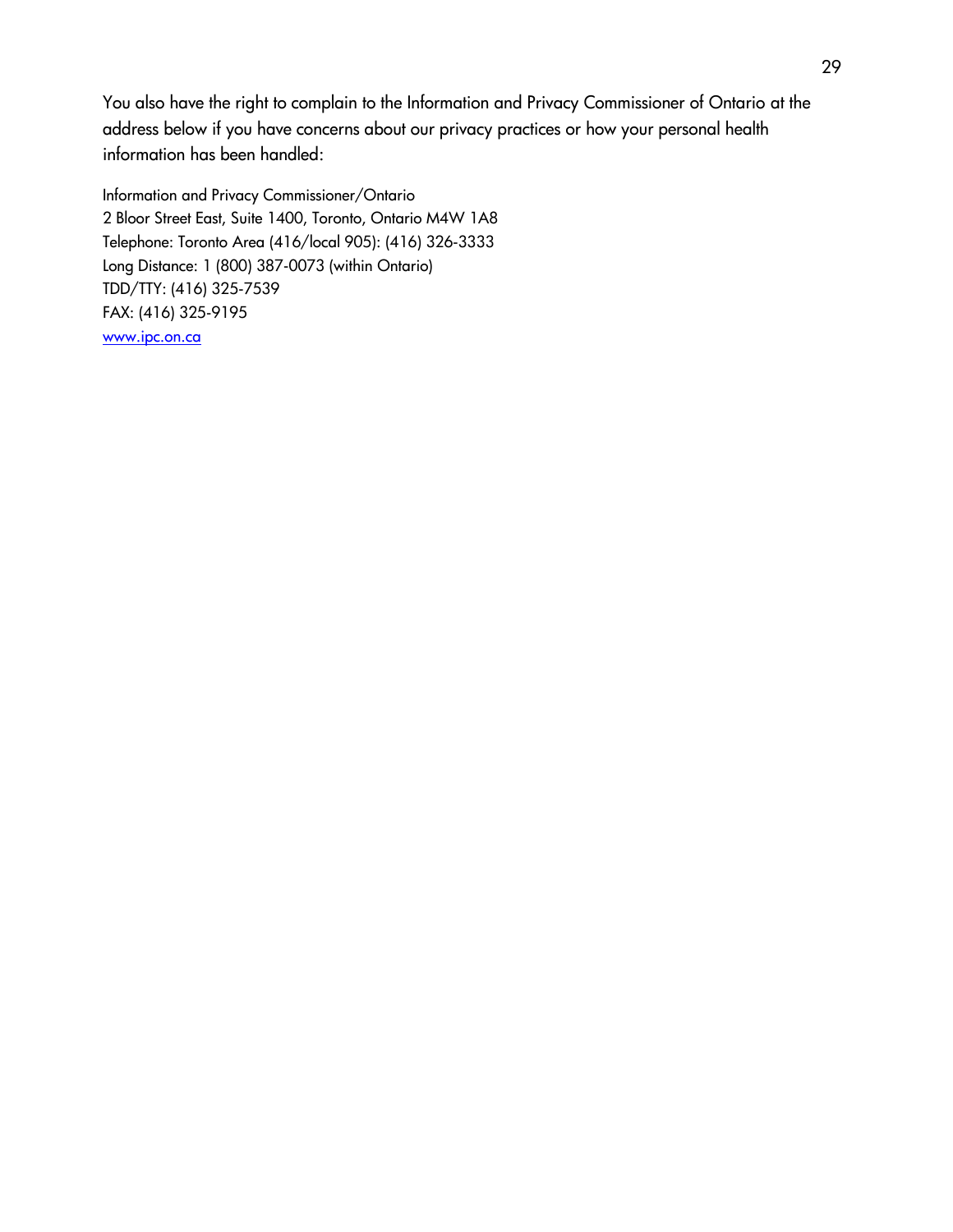You also have the right to complain to the Information and Privacy Commissioner of Ontario at the address below if you have concerns about our privacy practices or how your personal health information has been handled:

Information and Privacy Commissioner/Ontario 2 Bloor Street East, Suite 1400, Toronto, Ontario M4W 1A8 Telephone: Toronto Area (416/local 905): (416) 326-3333 Long Distance: 1 (800) 387-0073 (within Ontario) TDD/TTY: (416) 325-7539 FAX: (416) 325-9195 [www.ipc.on.ca](http://www.ipc.on.ca/)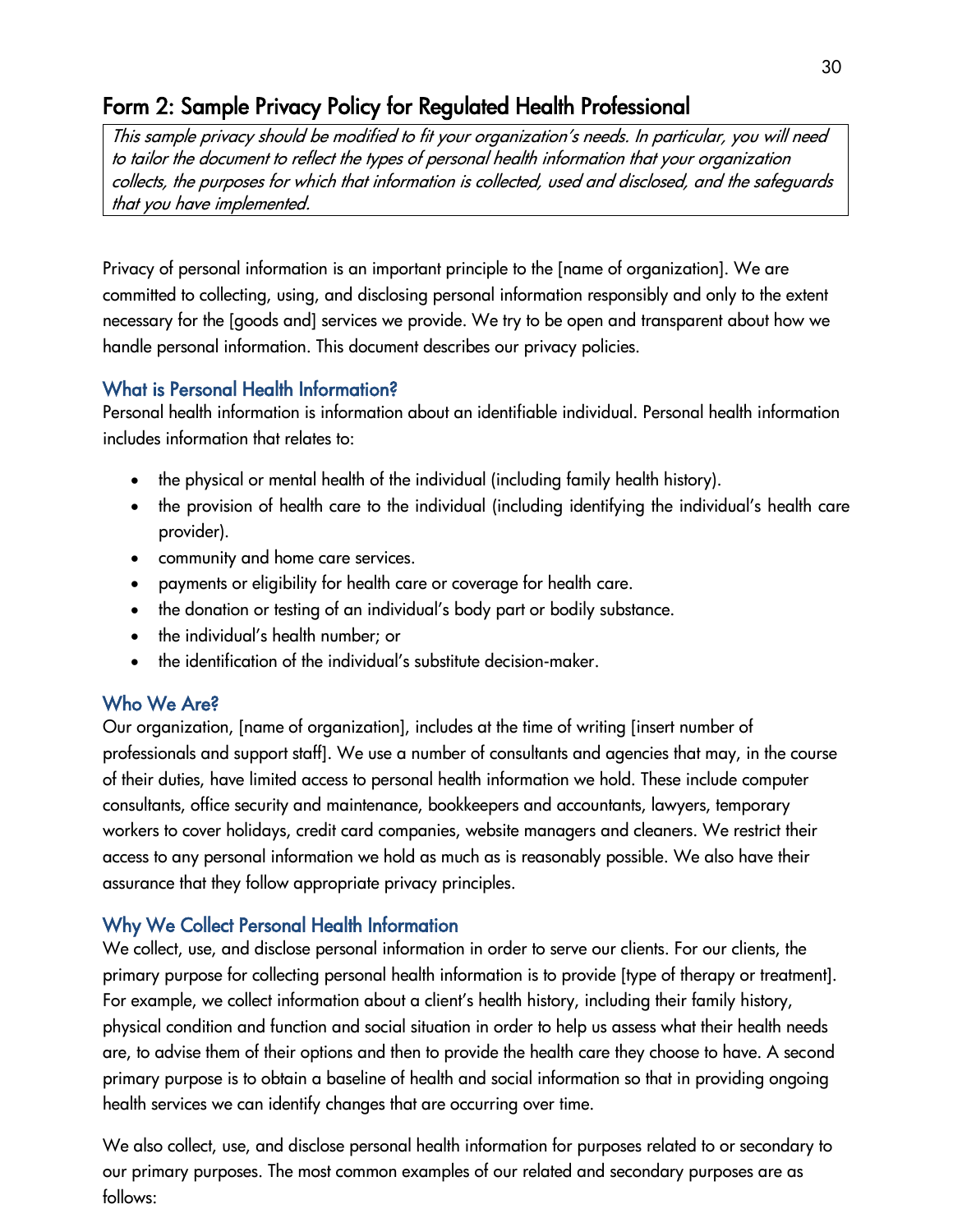## <span id="page-29-0"></span>Form 2: Sample Privacy Policy for Regulated Health Professional

This sample privacy should be modified to fit your organization's needs. In particular, you will need to tailor the document to reflect the types of personal health information that your organization collects, the purposes for which that information is collected, used and disclosed, and the safeguards that you have implemented.

Privacy of personal information is an important principle to the [name of organization]. We are committed to collecting, using, and disclosing personal information responsibly and only to the extent necessary for the [goods and] services we provide. We try to be open and transparent about how we handle personal information. This document describes our privacy policies.

#### <span id="page-29-1"></span>What is Personal Health Information?

Personal health information is information about an identifiable individual. Personal health information includes information that relates to:

- the physical or mental health of the individual (including family health history).
- the provision of health care to the individual (including identifying the individual's health care provider).
- community and home care services.
- payments or eligibility for health care or coverage for health care.
- the donation or testing of an individual's body part or bodily substance.
- the individual's health number; or
- the identification of the individual's substitute decision-maker.

## <span id="page-29-2"></span>Who We Are?

Our organization, [name of organization], includes at the time of writing [insert number of professionals and support staff]. We use a number of consultants and agencies that may, in the course of their duties, have limited access to personal health information we hold. These include computer consultants, office security and maintenance, bookkeepers and accountants, lawyers, temporary workers to cover holidays, credit card companies, website managers and cleaners. We restrict their access to any personal information we hold as much as is reasonably possible. We also have their assurance that they follow appropriate privacy principles.

### <span id="page-29-3"></span>Why We Collect Personal Health Information

We collect, use, and disclose personal information in order to serve our clients. For our clients, the primary purpose for collecting personal health information is to provide [type of therapy or treatment]. For example, we collect information about a client's health history, including their family history, physical condition and function and social situation in order to help us assess what their health needs are, to advise them of their options and then to provide the health care they choose to have. A second primary purpose is to obtain a baseline of health and social information so that in providing ongoing health services we can identify changes that are occurring over time.

We also collect, use, and disclose personal health information for purposes related to or secondary to our primary purposes. The most common examples of our related and secondary purposes are as follows: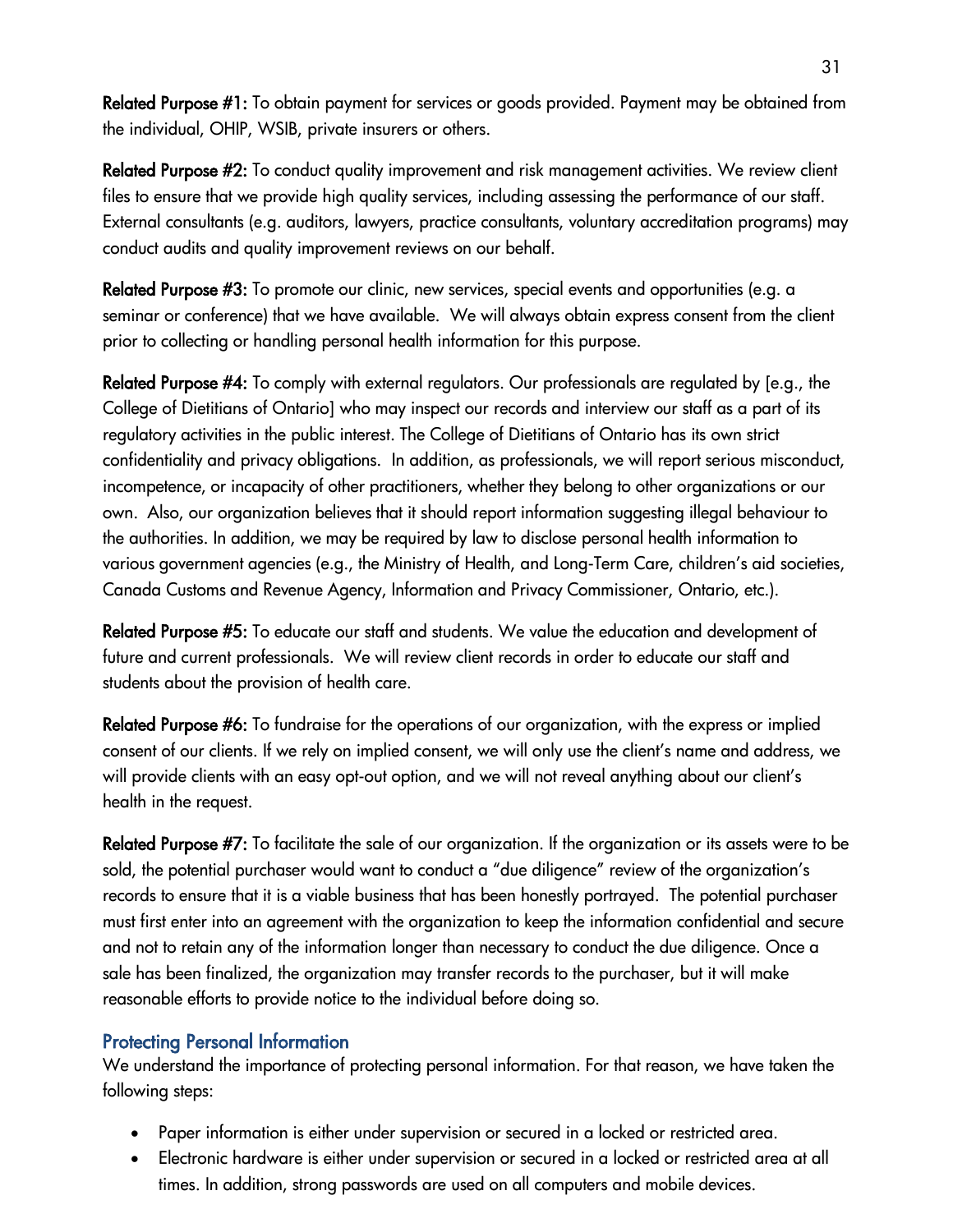**Related Purpose #1:** To obtain payment for services or goods provided. Payment may be obtained from the individual, OHIP, WSIB, private insurers or others.

Related Purpose #2: To conduct quality improvement and risk management activities. We review client files to ensure that we provide high quality services, including assessing the performance of our staff. External consultants (e.g. auditors, lawyers, practice consultants, voluntary accreditation programs) may conduct audits and quality improvement reviews on our behalf.

Related Purpose #3: To promote our clinic, new services, special events and opportunities (e.g. a seminar or conference) that we have available. We will always obtain express consent from the client prior to collecting or handling personal health information for this purpose.

Related Purpose #4: To comply with external regulators. Our professionals are regulated by [e.g., the College of Dietitians of Ontario] who may inspect our records and interview our staff as a part of its regulatory activities in the public interest. The College of Dietitians of Ontario has its own strict confidentiality and privacy obligations. In addition, as professionals, we will report serious misconduct, incompetence, or incapacity of other practitioners, whether they belong to other organizations or our own. Also, our organization believes that it should report information suggesting illegal behaviour to the authorities. In addition, we may be required by law to disclose personal health information to various government agencies (e.g., the Ministry of Health, and Long-Term Care, children's aid societies, Canada Customs and Revenue Agency, Information and Privacy Commissioner, Ontario, etc.).

Related Purpose #5: To educate our staff and students. We value the education and development of future and current professionals. We will review client records in order to educate our staff and students about the provision of health care.

Related Purpose #6: To fundraise for the operations of our organization, with the express or implied consent of our clients. If we rely on implied consent, we will only use the client's name and address, we will provide clients with an easy opt-out option, and we will not reveal anything about our client's health in the request.

Related Purpose #7: To facilitate the sale of our organization. If the organization or its assets were to be sold, the potential purchaser would want to conduct a "due diligence" review of the organization's records to ensure that it is a viable business that has been honestly portrayed. The potential purchaser must first enter into an agreement with the organization to keep the information confidential and secure and not to retain any of the information longer than necessary to conduct the due diligence. Once a sale has been finalized, the organization may transfer records to the purchaser, but it will make reasonable efforts to provide notice to the individual before doing so.

#### <span id="page-30-0"></span>Protecting Personal Information

We understand the importance of protecting personal information. For that reason, we have taken the following steps:

- Paper information is either under supervision or secured in a locked or restricted area.
- Electronic hardware is either under supervision or secured in a locked or restricted area at all times. In addition, strong passwords are used on all computers and mobile devices.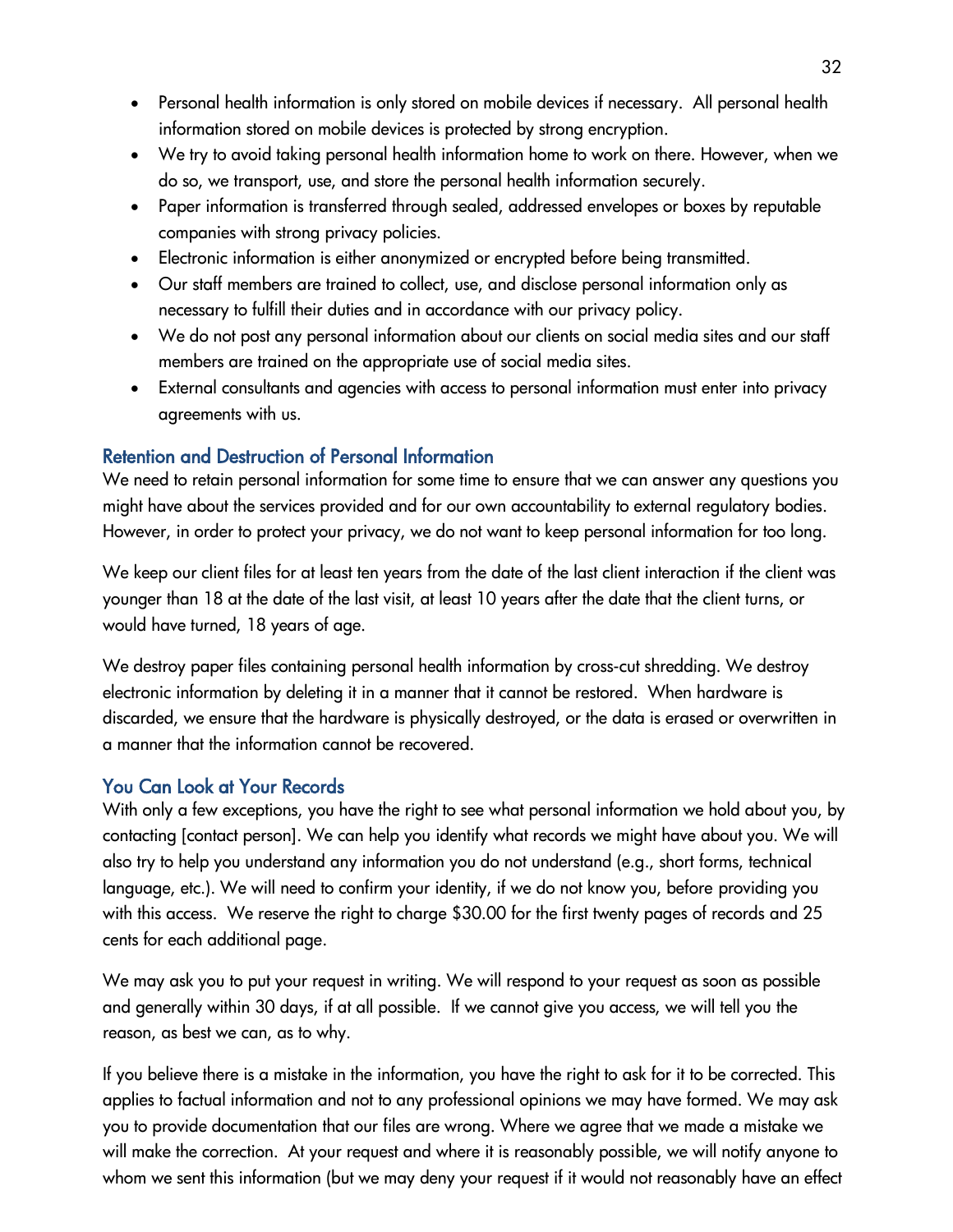- Personal health information is only stored on mobile devices if necessary. All personal health information stored on mobile devices is protected by strong encryption.
- We try to avoid taking personal health information home to work on there. However, when we do so, we transport, use, and store the personal health information securely.
- Paper information is transferred through sealed, addressed envelopes or boxes by reputable companies with strong privacy policies.
- Electronic information is either anonymized or encrypted before being transmitted.
- Our staff members are trained to collect, use, and disclose personal information only as necessary to fulfill their duties and in accordance with our privacy policy.
- We do not post any personal information about our clients on social media sites and our staff members are trained on the appropriate use of social media sites.
- External consultants and agencies with access to personal information must enter into privacy agreements with us.

### <span id="page-31-0"></span>Retention and Destruction of Personal Information

We need to retain personal information for some time to ensure that we can answer any questions you might have about the services provided and for our own accountability to external regulatory bodies. However, in order to protect your privacy, we do not want to keep personal information for too long.

We keep our client files for at least ten years from the date of the last client interaction if the client was younger than 18 at the date of the last visit, at least 10 years after the date that the client turns, or would have turned, 18 years of age.

We destroy paper files containing personal health information by cross-cut shredding. We destroy electronic information by deleting it in a manner that it cannot be restored. When hardware is discarded, we ensure that the hardware is physically destroyed, or the data is erased or overwritten in a manner that the information cannot be recovered.

### <span id="page-31-1"></span>You Can Look at Your Records

With only a few exceptions, you have the right to see what personal information we hold about you, by contacting [contact person]. We can help you identify what records we might have about you. We will also try to help you understand any information you do not understand (e.g., short forms, technical language, etc.). We will need to confirm your identity, if we do not know you, before providing you with this access. We reserve the right to charge \$30.00 for the first twenty pages of records and 25 cents for each additional page.

We may ask you to put your request in writing. We will respond to your request as soon as possible and generally within 30 days, if at all possible. If we cannot give you access, we will tell you the reason, as best we can, as to why.

If you believe there is a mistake in the information, you have the right to ask for it to be corrected. This applies to factual information and not to any professional opinions we may have formed. We may ask you to provide documentation that our files are wrong. Where we agree that we made a mistake we will make the correction. At your request and where it is reasonably possible, we will notify anyone to whom we sent this information (but we may deny your request if it would not reasonably have an effect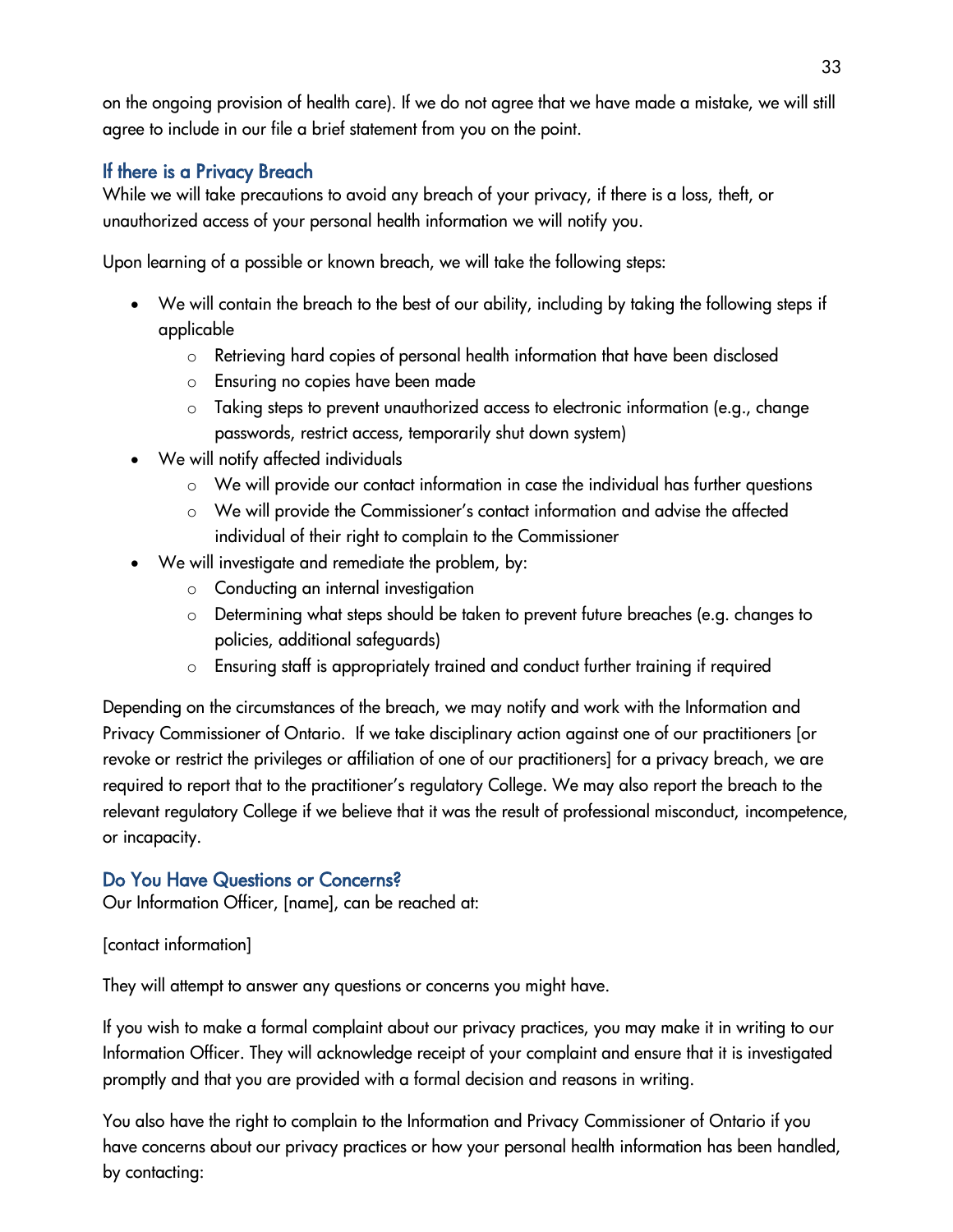.<br>333 on the ongoing provision of health care). If we do not agree that we have made a mistake, we will still agree to include in our file a brief statement from you on the point.

### <span id="page-32-0"></span>If there is a Privacy Breach

While we will take precautions to avoid any breach of your privacy, if there is a loss, theft, or unauthorized access of your personal health information we will notify you.

Upon learning of a possible or known breach, we will take the following steps:

- We will contain the breach to the best of our ability, including by taking the following steps if applicable
	- o Retrieving hard copies of personal health information that have been disclosed
	- o Ensuring no copies have been made
	- o Taking steps to prevent unauthorized access to electronic information (e.g., change passwords, restrict access, temporarily shut down system)
- We will notify affected individuals
	- o We will provide our contact information in case the individual has further questions
	- o We will provide the Commissioner's contact information and advise the affected individual of their right to complain to the Commissioner
- We will investigate and remediate the problem, by:
	- o Conducting an internal investigation
	- o Determining what steps should be taken to prevent future breaches (e.g. changes to policies, additional safeguards)
	- o Ensuring staff is appropriately trained and conduct further training if required

Depending on the circumstances of the breach, we may notify and work with the Information and Privacy Commissioner of Ontario. If we take disciplinary action against one of our practitioners [or revoke or restrict the privileges or affiliation of one of our practitioners] for a privacy breach, we are required to report that to the practitioner's regulatory College. We may also report the breach to the relevant regulatory College if we believe that it was the result of professional misconduct, incompetence, or incapacity.

### <span id="page-32-1"></span>Do You Have Questions or Concerns?

Our Information Officer, [name], can be reached at:

[contact information]

They will attempt to answer any questions or concerns you might have.

If you wish to make a formal complaint about our privacy practices, you may make it in writing to our Information Officer. They will acknowledge receipt of your complaint and ensure that it is investigated promptly and that you are provided with a formal decision and reasons in writing.

You also have the right to complain to the Information and Privacy Commissioner of Ontario if you have concerns about our privacy practices or how your personal health information has been handled, by contacting: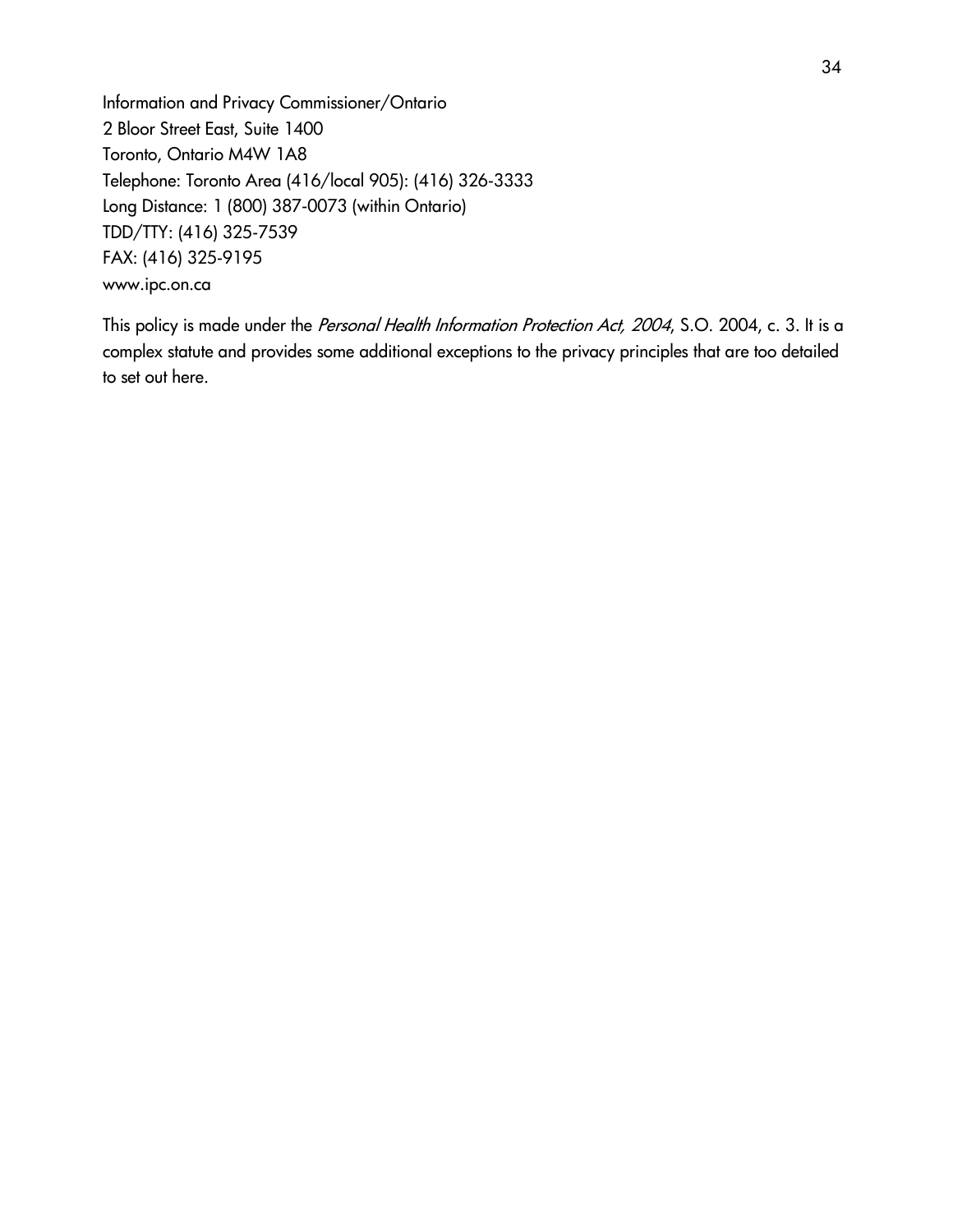Information and Privacy Commissioner/Ontario 2 Bloor Street East, Suite 1400 Toronto, Ontario M4W 1A8 Telephone: Toronto Area (416/local 905): (416) 326-3333 Long Distance: 1 (800) 387-0073 (within Ontario) TDD/TTY: (416) 325-7539 FAX: (416) 325-9195 www.ipc.on.ca

This policy is made under the Personal Health Information Protection Act, 2004, S.O. 2004, c. 3. It is a complex statute and provides some additional exceptions to the privacy principles that are too detailed to set out here.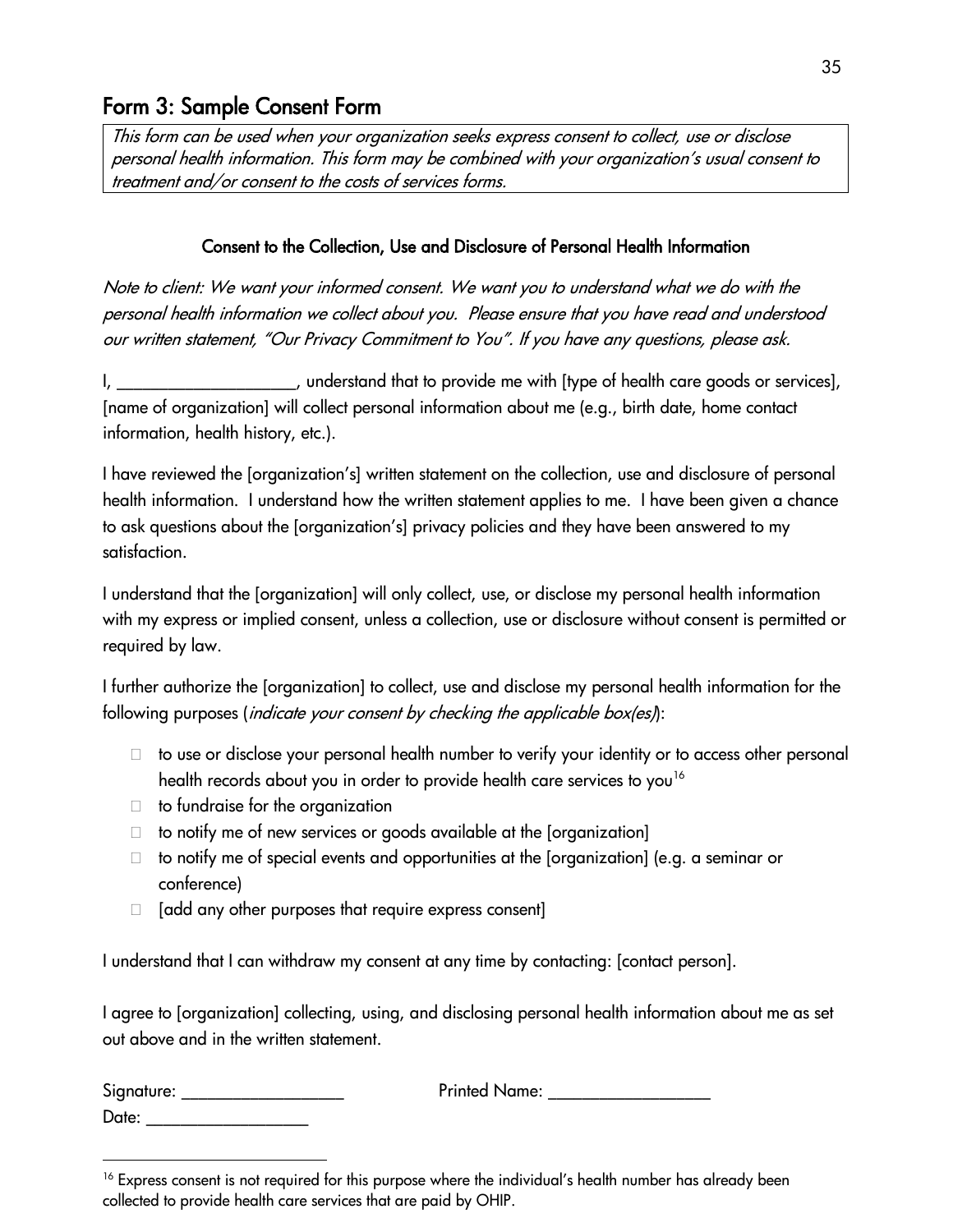## <span id="page-34-0"></span>Form 3: Sample Consent Form

This form can be used when your organization seeks express consent to collect, use or disclose personal health information. This form may be combined with your organization's usual consent to treatment and/or consent to the costs of services forms.

#### Consent to the Collection, Use and Disclosure of Personal Health Information

Note to client: We want your informed consent. We want you to understand what we do with the personal health information we collect about you. Please ensure that you have read and understood our written statement, "Our Privacy Commitment to You". If you have any questions, please ask.

I, \_\_\_\_\_\_\_\_\_\_\_\_\_\_\_\_\_\_\_\_\_, understand that to provide me with [type of health care goods or services], [name of organization] will collect personal information about me (e.g., birth date, home contact information, health history, etc.).

I have reviewed the [organization's] written statement on the collection, use and disclosure of personal health information. I understand how the written statement applies to me. I have been given a chance to ask questions about the [organization's] privacy policies and they have been answered to my satisfaction.

I understand that the [organization] will only collect, use, or disclose my personal health information with my express or implied consent, unless a collection, use or disclosure without consent is permitted or required by law.

I further authorize the [organization] to collect, use and disclose my personal health information for the following purposes (*indicate your consent by checking the applicable box(es)*):

- $\Box$  to use or disclose your personal health number to verify your identity or to access other personal health records about you in order to provide health care services to you<sup>16</sup>
- $\Box$  to fundraise for the organization
- $\Box$  to notify me of new services or goods available at the [organization]
- $\Box$  to notify me of special events and opportunities at the [organization] (e.g. a seminar or conference)
- $\Box$  [add any other purposes that require express consent]

I understand that I can withdraw my consent at any time by contacting: [contact person].

I agree to [organization] collecting, using, and disclosing personal health information about me as set out above and in the written statement.

| Signature: | <b>Printed Name:</b> |
|------------|----------------------|
| Date:      |                      |

<sup>&</sup>lt;sup>16</sup> Express consent is not required for this purpose where the individual's health number has already been collected to provide health care services that are paid by OHIP.